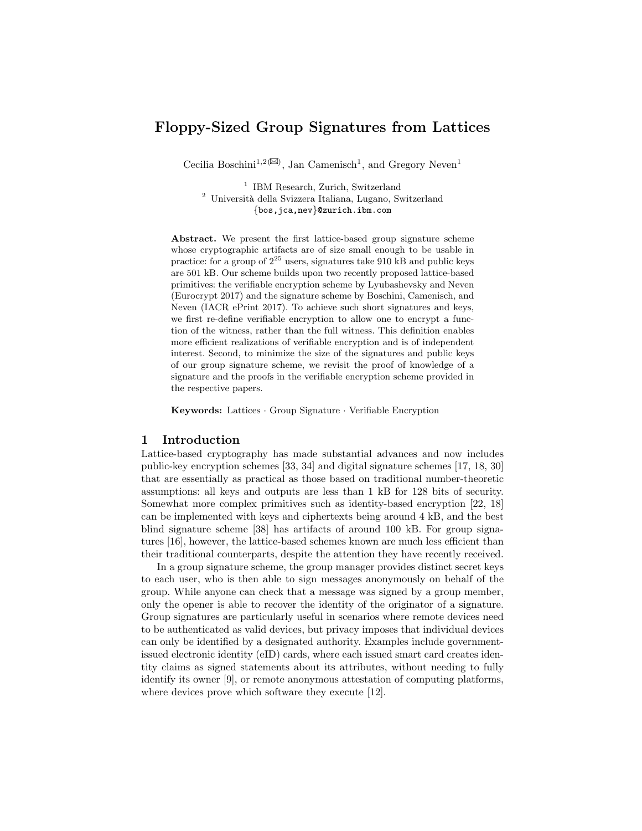# Floppy-Sized Group Signatures from Lattices

Cecilia Boschini<sup>1,2( $\boxtimes$ )</sup>, Jan Camenisch<sup>1</sup>, and Gregory Neven<sup>1</sup>

<sup>1</sup> IBM Research, Zurich, Switzerland <sup>2</sup> Università della Svizzera Italiana, Lugano, Switzerland {bos,jca,nev}@zurich.ibm.com

Abstract. We present the first lattice-based group signature scheme whose cryptographic artifacts are of size small enough to be usable in practice: for a group of  $2^{25}$  users, signatures take 910 kB and public keys are 501 kB. Our scheme builds upon two recently proposed lattice-based primitives: the verifiable encryption scheme by Lyubashevsky and Neven (Eurocrypt 2017) and the signature scheme by Boschini, Camenisch, and Neven (IACR ePrint 2017). To achieve such short signatures and keys, we first re-define verifiable encryption to allow one to encrypt a function of the witness, rather than the full witness. This definition enables more efficient realizations of verifiable encryption and is of independent interest. Second, to minimize the size of the signatures and public keys of our group signature scheme, we revisit the proof of knowledge of a signature and the proofs in the verifiable encryption scheme provided in the respective papers.

Keywords: Lattices · Group Signature · Verifiable Encryption

#### 1 Introduction

Lattice-based cryptography has made substantial advances and now includes public-key encryption schemes [33, 34] and digital signature schemes [17, 18, 30] that are essentially as practical as those based on traditional number-theoretic assumptions: all keys and outputs are less than 1 kB for 128 bits of security. Somewhat more complex primitives such as identity-based encryption [22, 18] can be implemented with keys and ciphertexts being around 4 kB, and the best blind signature scheme [38] has artifacts of around 100 kB. For group signatures [16], however, the lattice-based schemes known are much less efficient than their traditional counterparts, despite the attention they have recently received.

In a group signature scheme, the group manager provides distinct secret keys to each user, who is then able to sign messages anonymously on behalf of the group. While anyone can check that a message was signed by a group member, only the opener is able to recover the identity of the originator of a signature. Group signatures are particularly useful in scenarios where remote devices need to be authenticated as valid devices, but privacy imposes that individual devices can only be identified by a designated authority. Examples include governmentissued electronic identity (eID) cards, where each issued smart card creates identity claims as signed statements about its attributes, without needing to fully identify its owner [9], or remote anonymous attestation of computing platforms, where devices prove which software they execute [12].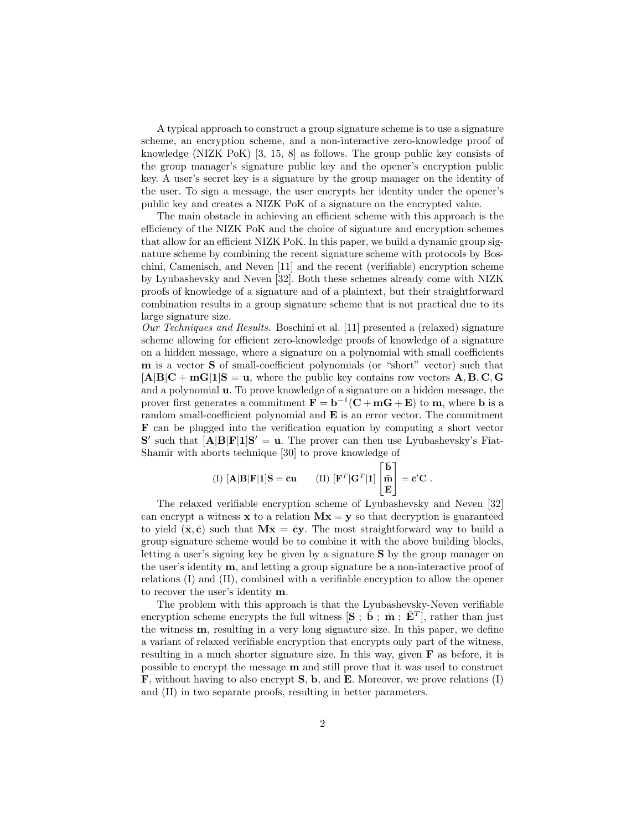A typical approach to construct a group signature scheme is to use a signature scheme, an encryption scheme, and a non-interactive zero-knowledge proof of knowledge (NIZK PoK) [3, 15, 8] as follows. The group public key consists of the group manager's signature public key and the opener's encryption public key. A user's secret key is a signature by the group manager on the identity of the user. To sign a message, the user encrypts her identity under the opener's public key and creates a NIZK PoK of a signature on the encrypted value.

The main obstacle in achieving an efficient scheme with this approach is the efficiency of the NIZK PoK and the choice of signature and encryption schemes that allow for an efficient NIZK PoK. In this paper, we build a dynamic group signature scheme by combining the recent signature scheme with protocols by Boschini, Camenisch, and Neven [11] and the recent (verifiable) encryption scheme by Lyubashevsky and Neven [32]. Both these schemes already come with NIZK proofs of knowledge of a signature and of a plaintext, but their straightforward combination results in a group signature scheme that is not practical due to its large signature size.

Our Techniques and Results. Boschini et al. [11] presented a (relaxed) signature scheme allowing for efficient zero-knowledge proofs of knowledge of a signature on a hidden message, where a signature on a polynomial with small coefficients m is a vector S of small-coefficient polynomials (or "short" vector) such that  $[A|B|C + mG|1]S = u$ , where the public key contains row vectors A, B, C, G and a polynomial u. To prove knowledge of a signature on a hidden message, the prover first generates a commitment  $\mathbf{F} = \mathbf{b}^{-1}(\mathbf{C} + \mathbf{m}\mathbf{G} + \mathbf{E})$  to  $\mathbf{m}$ , where **b** is a random small-coefficient polynomial and E is an error vector. The commitment F can be plugged into the verification equation by computing a short vector  $S'$  such that  $[A|B|F|1]S' = u$ . The prover can then use Lyubashevsky's Fiat-Shamir with aborts technique [30] to prove knowledge of

(I) 
$$
[\mathbf{A}|\mathbf{B}|\mathbf{F}|\mathbf{1}]\bar{\mathbf{S}} = \bar{\mathbf{c}}\mathbf{u}
$$
 (II)  $[\mathbf{F}^T|\mathbf{G}^T|\mathbf{1}] \begin{bmatrix} \bar{\mathbf{b}} \\ \bar{\mathbf{m}} \\ \bar{\mathbf{E}} \end{bmatrix} = \bar{\mathbf{c}}'\mathbf{C}$ .

The relaxed verifiable encryption scheme of Lyubashevsky and Neven [32] can encrypt a witness  $x$  to a relation  $Mx = y$  so that decryption is guaranteed to yield  $(\bar{x}, \bar{c})$  such that  $M\bar{x} = \bar{c}y$ . The most straightforward way to build a group signature scheme would be to combine it with the above building blocks, letting a user's signing key be given by a signature S by the group manager on the user's identity  $\mathbf{m}$ , and letting a group signature be a non-interactive proof of relations (I) and (II), combined with a verifiable encryption to allow the opener to recover the user's identity m.

The problem with this approach is that the Lyubashevsky-Neven verifiable encryption scheme encrypts the full witness  $[\mathbf{S} : \dot{\bar{\mathbf{b}}} : \bar{\mathbf{m}} : \bar{\mathbf{E}}^T]$ , rather than just the witness m, resulting in a very long signature size. In this paper, we define a variant of relaxed verifiable encryption that encrypts only part of the witness, resulting in a much shorter signature size. In this way, given F as before, it is possible to encrypt the message m and still prove that it was used to construct F, without having to also encrypt S, b, and E. Moreover, we prove relations (I) and (II) in two separate proofs, resulting in better parameters.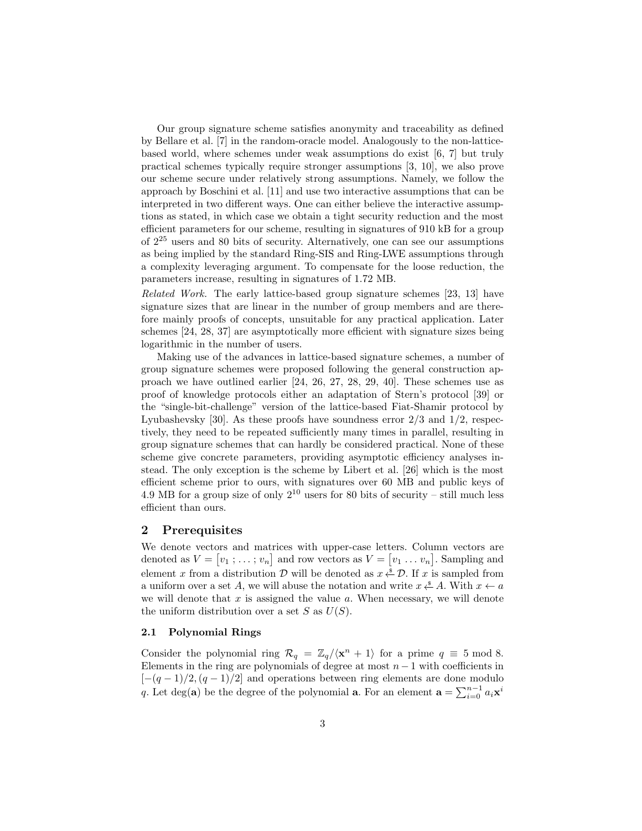Our group signature scheme satisfies anonymity and traceability as defined by Bellare et al. [7] in the random-oracle model. Analogously to the non-latticebased world, where schemes under weak assumptions do exist [6, 7] but truly practical schemes typically require stronger assumptions [3, 10], we also prove our scheme secure under relatively strong assumptions. Namely, we follow the approach by Boschini et al. [11] and use two interactive assumptions that can be interpreted in two different ways. One can either believe the interactive assumptions as stated, in which case we obtain a tight security reduction and the most efficient parameters for our scheme, resulting in signatures of 910 kB for a group of 2<sup>25</sup> users and 80 bits of security. Alternatively, one can see our assumptions as being implied by the standard Ring-SIS and Ring-LWE assumptions through a complexity leveraging argument. To compensate for the loose reduction, the parameters increase, resulting in signatures of 1.72 MB.

Related Work. The early lattice-based group signature schemes [23, 13] have signature sizes that are linear in the number of group members and are therefore mainly proofs of concepts, unsuitable for any practical application. Later schemes [24, 28, 37] are asymptotically more efficient with signature sizes being logarithmic in the number of users.

Making use of the advances in lattice-based signature schemes, a number of group signature schemes were proposed following the general construction approach we have outlined earlier [24, 26, 27, 28, 29, 40]. These schemes use as proof of knowledge protocols either an adaptation of Stern's protocol [39] or the "single-bit-challenge" version of the lattice-based Fiat-Shamir protocol by Lyubashevsky [30]. As these proofs have soundness error  $2/3$  and  $1/2$ , respectively, they need to be repeated sufficiently many times in parallel, resulting in group signature schemes that can hardly be considered practical. None of these scheme give concrete parameters, providing asymptotic efficiency analyses instead. The only exception is the scheme by Libert et al. [26] which is the most efficient scheme prior to ours, with signatures over 60 MB and public keys of 4.9 MB for a group size of only  $2^{10}$  users for 80 bits of security – still much less efficient than ours.

# 2 Prerequisites

We denote vectors and matrices with upper-case letters. Column vectors are denoted as  $V = [v_1; \ldots; v_n]$  and row vectors as  $V = [v_1; \ldots; v_n]$ . Sampling and element x from a distribution  $\mathcal D$  will be denoted as  $x \overset{\hspace{0.1em}\mathsf{\scriptscriptstyle\$}}{\leftarrow} \mathcal D$ . If x is sampled from a uniform over a set A, we will abuse the notation and write  $x \stackrel{s}{\leftarrow} A$ . With  $x \leftarrow a$ we will denote that  $x$  is assigned the value  $a$ . When necessary, we will denote the uniform distribution over a set  $S$  as  $U(S)$ .

#### 2.1 Polynomial Rings

Consider the polynomial ring  $\mathcal{R}_q = \mathbb{Z}_q / \langle \mathbf{x}^n + 1 \rangle$  for a prime  $q \equiv 5 \mod 8$ . Elements in the ring are polynomials of degree at most  $n-1$  with coefficients in  $[-(q-1)/2,(q-1)/2]$  and operations between ring elements are done modulo q. Let deg(a) be the degree of the polynomial **a**. For an element  $\mathbf{a} = \sum_{i=0}^{n-1} a_i \mathbf{x}^i$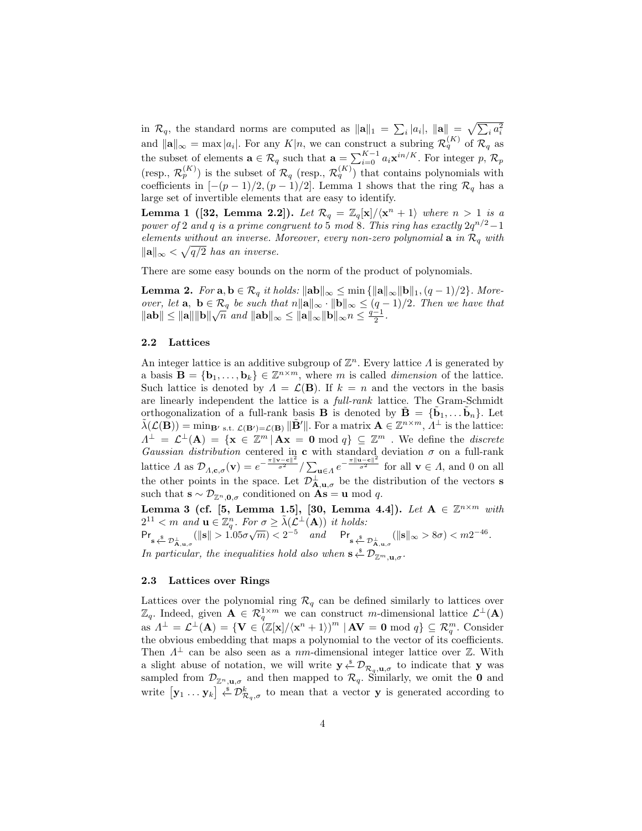in  $\mathcal{R}_q$ , the standard norms are computed as  $\|\mathbf{a}\|_1 = \sum_i |a_i|$ ,  $\|\mathbf{a}\| = \sqrt{\sum_i a_i^2}$ and  $\|\mathbf{a}\|_{\infty} = \max |a_i|$ . For any  $K|n$ , we can construct a subring  $\mathcal{R}_q^{(K)}$  of  $\mathcal{R}_q$  as the subset of elements  $\mathbf{a} \in \mathcal{R}_q$  such that  $\mathbf{a} = \sum_{i=0}^{K-1} a_i \mathbf{x}^{in/K}$ . For integer p,  $\mathcal{R}_p$ (resp.,  $\mathcal{R}_p^{(K)}$ ) is the subset of  $\mathcal{R}_q$  (resp.,  $\mathcal{R}_q^{(K)}$ ) that contains polynomials with coefficients in  $[-(p-1)/2,(p-1)/2]$ . Lemma 1 shows that the ring  $\mathcal{R}_q$  has a large set of invertible elements that are easy to identify.

**Lemma 1** ([32, Lemma 2.2]). Let  $\mathcal{R}_q = \mathbb{Z}_q[\mathbf{x}]/\langle \mathbf{x}^n + 1 \rangle$  where  $n > 1$  is a power of 2 and q is a prime congruent to 5 mod 8. This ring has exactly  $2q^{n/2}-1$ elements without an inverse. Moreover, every non-zero polynomial  $\mathbf{a}$  in  $\mathcal{R}_q$  with  $\|\mathbf{a}\|_{\infty} < \sqrt{q/2}$  has an inverse.

There are some easy bounds on the norm of the product of polynomials.

**Lemma 2.** For  $\mathbf{a}, \mathbf{b} \in \mathcal{R}_q$  it holds:  $\|\mathbf{a}\|_{\infty} \leq \min \{ \|\mathbf{a}\|_{\infty} \|\mathbf{b}\|_1, (q-1)/2 \}$ . Moreover, let  $\mathbf{a}, \ \mathbf{b} \in \mathcal{R}_q$  be such that  $n\|\mathbf{a}\|_{\infty} \cdot \|\mathbf{b}\|_{\infty} \leq (q-1)/2$ . Then we have that *bver*, let **a**, **b**  $\in$   $\mathcal{R}_q$  *be such that*  $n ||\mathbf{a}||_{\infty} \cdot ||\mathbf{b}||_{\infty} \leq (q - ||\mathbf{a}|| ||\mathbf{b}||)$ <br> $||\mathbf{a}|| ||\mathbf{b}|| \sqrt{n}$  and  $||\mathbf{a}||_{\infty} \leq ||\mathbf{a}||_{\infty} ||\mathbf{b}||_{\infty}$   $n \leq \frac{q-1}{2}$ .

#### 2.2 Lattices

An integer lattice is an additive subgroup of  $\mathbb{Z}^n$ . Every lattice  $\Lambda$  is generated by a basis  $\mathbf{B} = \{\mathbf{b}_1, \ldots, \mathbf{b}_k\} \in \mathbb{Z}^{n \times m}$ , where m is called *dimension* of the lattice. Such lattice is denoted by  $\Lambda = \mathcal{L}(\mathbf{B})$ . If  $k = n$  and the vectors in the basis are linearly independent the lattice is a full-rank lattice. The Gram-Schmidt orthogonalization of a full-rank basis **B** is denoted by  $\tilde{\mathbf{B}} = {\{\tilde{\mathbf{b}}_1, \dots \tilde{\mathbf{b}}_n\}}$ . Let  $\tilde{\lambda}(\mathcal{L}(\mathbf{B})) = \min_{\mathbf{B}' \text{ s.t. } \mathcal{L}(\mathbf{B}') = \mathcal{L}(\mathbf{B})} \|\tilde{\mathbf{B}}'\|$ . For a matrix  $\mathbf{A} \in \mathbb{Z}^{n \times m}$ ,  $\tilde{\Lambda}^{\perp}$  is the lattice:  $\Lambda^{\perp} = \mathcal{L}^{\perp}(\mathbf{A}) = \{ \mathbf{x} \in \mathbb{Z}^m \mid \mathbf{A}\mathbf{x} = \mathbf{0} \bmod q \} \subseteq \mathbb{Z}^m$ . We define the *discrete* Gaussian distribution centered in c with standard deviation  $\sigma$  on a full-rank lattice  $\Lambda$  as  $\mathcal{D}_{\Lambda,\mathbf{c},\sigma}(\mathbf{v}) = e^{-\frac{\pi ||\mathbf{v}-\mathbf{c}||^2}{\sigma^2}} / \sum_{\mathbf{u}\in\Lambda} e^{-\frac{\pi ||\mathbf{u}-\mathbf{c}||^2}{\sigma^2}}$  for all  $\mathbf{v}\in\Lambda$ , and 0 on all the other points in the space. Let  $\mathcal{D}_{\mathbf{A},\mathbf{u},\sigma}^{\perp}$  be the distribution of the vectors **s** such that  $\mathbf{s} \sim \mathcal{D}_{\mathbb{Z}^n, \mathbf{0}, \sigma}$  conditioned on  $\mathbf{As} = \mathbf{u} \bmod q$ .

Lemma 3 (cf. [5, Lemma 1.5], [30, Lemma 4.4]). Let  $A \in \mathbb{Z}^{n \times m}$  with  $2^{11} < m$  and  $\mathbf{u} \in \mathbb{Z}_q^n$ . For  $\sigma \geq \tilde{\lambda}(\mathcal{L}^{\perp}(\mathbf{A}))$  it holds:  $Pr_{s \stackrel{s}{\leftarrow} \mathcal{D}_{\mathbf{A}, \mathbf{u}, \sigma}}(||\mathbf{s}|| > 1.05\sigma\sqrt{m}) < 2^{-5}$  and  $Pr_{s \stackrel{s}{\leftarrow} \mathcal{D}_{\mathbf{A}, \mathbf{u}, \sigma}}(||\mathbf{s}||_{\infty} > 8\sigma) < m2^{-46}$ . In particular, the inequalities hold also when  $s \stackrel{\$}{\leftarrow} \mathcal{D}_{\mathbb{Z}^m,\mathbf{u},\sigma}$ .

#### 2.3 Lattices over Rings

Lattices over the polynomial ring  $\mathcal{R}_q$  can be defined similarly to lattices over  $\mathbb{Z}_q$ . Indeed, given  $\mathbf{A} \in \mathcal{R}_q^{1 \times m}$  we can construct m-dimensional lattice  $\mathcal{L}^{\perp}(\mathbf{A})$ as  $\Lambda^{\perp} = \mathcal{L}^{\perp}(\mathbf{A}) = \{ \mathbf{V} \in (\mathbb{Z}[\mathbf{x}]/\langle \mathbf{x}^n + 1 \rangle)^m | \mathbf{A} \mathbf{V} = \mathbf{0} \bmod q \} \subseteq \mathcal{R}_q^m$ . Consider the obvious embedding that maps a polynomial to the vector of its coefficients. Then  $\Lambda^{\perp}$  can be also seen as a nm-dimensional integer lattice over Z. With a slight abuse of notation, we will write  $y \stackrel{s}{\leftarrow} \mathcal{D}_{\mathcal{R}_q,\mathbf{u},\sigma}$  to indicate that y was sampled from  $\mathcal{D}_{\mathbb{Z}^n,\mathbf{u},\sigma}$  and then mapped to  $\mathcal{R}_q$ . Similarly, we omit the **0** and write  $[\mathbf{y}_1 \dots \mathbf{y}_k] \stackrel{s}{\leftarrow} \mathcal{D}_{\mathcal{R}_q,\sigma}^k$  to mean that a vector **y** is generated according to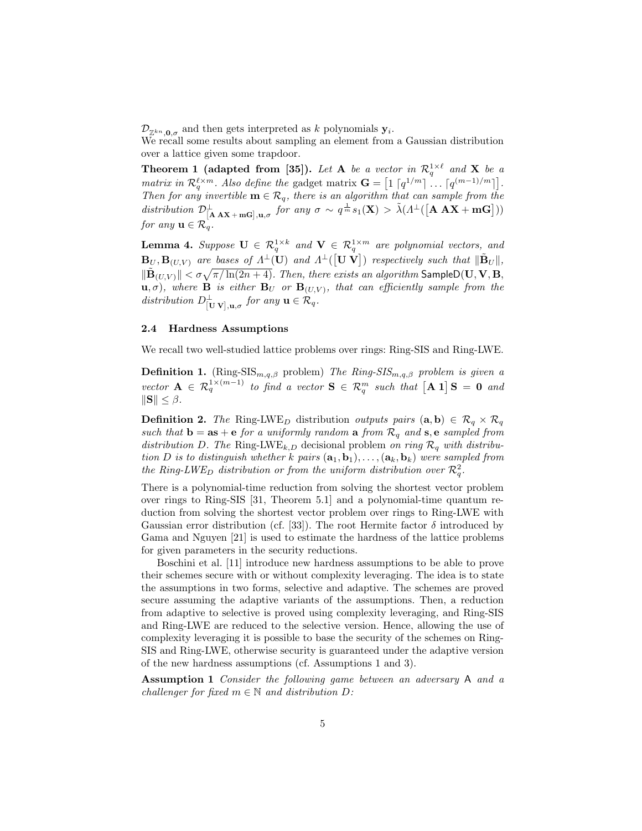$\mathcal{D}_{\mathbb{Z}^{kn},\mathbf{0},\sigma}$  and then gets interpreted as k polynomials  $\mathbf{y}_i$ .

We recall some results about sampling an element from a Gaussian distribution over a lattice given some trapdoor.

**Theorem 1 (adapted from [35]).** Let **A** be a vector in  $\mathcal{R}_q^{1\times \ell}$  and **X** be a matrix in  $\mathcal{R}_q^{\ell \times m}$ . Also define the gadget matrix  $\mathbf{G} = \left[1 \left\lceil q^{1/m} \right\rceil \dots \left\lceil q^{(m-1)/m} \right\rceil\right]$ . Then for any invertible  $\mathbf{m} \in \mathcal{R}_q$ , there is an algorithm that can sample from the distribution  $\mathcal{D}^{\perp}_{[\mathbf{A} \mathbf{A} \mathbf{X} + \mathbf{m} \mathbf{G}], \mathbf{u}, \sigma}$  for any  $\sigma \sim q^{\frac{1}{m}} s_1(\mathbf{X}) > \tilde{\lambda}(\Lambda^{\perp}([\mathbf{A} \mathbf{A} \mathbf{X} + \mathbf{m} \mathbf{G}]))$ for any  $\mathbf{u} \in \mathcal{R}_q$ .

**Lemma 4.** Suppose  $\mathbf{U} \in \mathcal{R}_q^{1 \times k}$  and  $\mathbf{V} \in \mathcal{R}_q^{1 \times m}$  are polynomial vectors, and  ${\bf B}_U,{\bf B}_{(U,V)}$  are bases of  $\varLambda^\perp({\bf U})$  and  $\varLambda^\perp([{\bf U} \; {\bf V}])$  respectively such that  $\|\tilde{{\bf B}}_U\|,$  $\|\tilde{\mathbf{B}}_{(U,V)}\| < \sigma \sqrt{\pi / \ln(2n+4)}$ . Then, there exists an algorithm SampleD(U, V, B,  $\mathbf{u}, \sigma$ ), where **B** is either  $\mathbf{B}_U$  or  $\mathbf{B}_{(U,V)}$ , that can efficiently sample from the distribution  $D^{\perp}_{[\mathbf{U} \mathbf{V}], \mathbf{u}, \sigma}$  for any  $\mathbf{u} \in \mathcal{R}_q$ .

### 2.4 Hardness Assumptions

We recall two well-studied lattice problems over rings: Ring-SIS and Ring-LWE.

**Definition 1.** (Ring-SIS<sub>m,q,β</sub> problem) The Ring-SIS<sub>m,q,β</sub> problem is given a vector  $\mathbf{A} \in \mathcal{R}_q^{1 \times (m-1)}$  to find a vector  $\mathbf{S} \in \mathcal{R}_q^m$  such that  $[\mathbf{A} \mathbf{1}] \mathbf{S} = \mathbf{0}$  and  $\|\mathbf{S}\| \leq \beta$ .

**Definition 2.** The Ring-LWE<sub>D</sub> distribution outputs pairs  $(a, b) \in \mathcal{R}_q \times \mathcal{R}_q$ such that  $\mathbf{b} = \mathbf{as} + \mathbf{e}$  for a uniformly random  $\mathbf{a}$  from  $\mathcal{R}_q$  and  $\mathbf{s}$ ,  $\mathbf{e}$  sampled from distribution D. The Ring-LWE<sub>k,D</sub> decisional problem on ring  $\mathcal{R}_q$  with distribution D is to distinguish whether k pairs  $(a_1, b_1), \ldots, (a_k, b_k)$  were sampled from the Ring-LWE<sub>D</sub> distribution or from the uniform distribution over  $\mathcal{R}_q^2$ .

There is a polynomial-time reduction from solving the shortest vector problem over rings to Ring-SIS [31, Theorem 5.1] and a polynomial-time quantum reduction from solving the shortest vector problem over rings to Ring-LWE with Gaussian error distribution (cf. [33]). The root Hermite factor  $\delta$  introduced by Gama and Nguyen [21] is used to estimate the hardness of the lattice problems for given parameters in the security reductions.

Boschini et al. [11] introduce new hardness assumptions to be able to prove their schemes secure with or without complexity leveraging. The idea is to state the assumptions in two forms, selective and adaptive. The schemes are proved secure assuming the adaptive variants of the assumptions. Then, a reduction from adaptive to selective is proved using complexity leveraging, and Ring-SIS and Ring-LWE are reduced to the selective version. Hence, allowing the use of complexity leveraging it is possible to base the security of the schemes on Ring-SIS and Ring-LWE, otherwise security is guaranteed under the adaptive version of the new hardness assumptions (cf. Assumptions 1 and 3).

Assumption 1 Consider the following game between an adversary A and a challenger for fixed  $m \in \mathbb{N}$  and distribution  $D$ :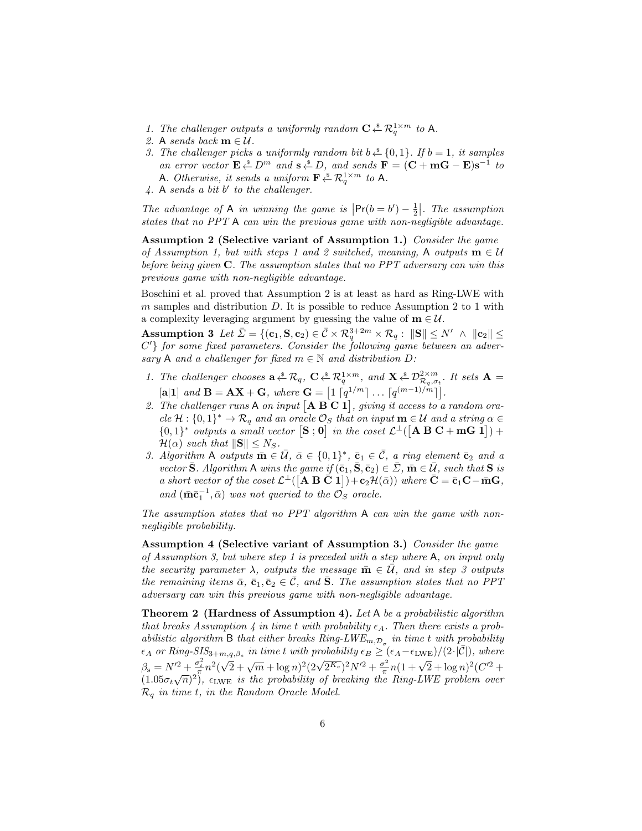- 1. The challenger outputs a uniformly random  $C \overset{\ast}{\leftarrow} \mathcal{R}_q^{1 \times m}$  to A.
- 2. A sends back  $m \in \mathcal{U}$ .
- 3. The challenger picks a uniformly random bit  $b \stackrel{s}{\leftarrow} \{0,1\}$ . If  $b = 1$ , it samples an error vector  $\mathbf{E} \stackrel{\ast}{\leftarrow} D^m$  and  $\mathbf{s} \stackrel{\ast}{\leftarrow} D$ , and sends  $\mathbf{F} = (\mathbf{C} + \mathbf{m}\mathbf{G} - \mathbf{E})\mathbf{s}^{-1}$  to A. Otherwise, it sends a uniform  $\mathbf{F} \overset{\ast}{\leftarrow} \mathcal{R}_q^{1 \times m}$  to A.
- $4. A sends a bit b' to the challenge.$

The advantage of A in winning the game is  $\left| \Pr(b = b') - \frac{1}{2} \right|$ . The assumption states that no PPT A can win the previous game with non-negligible advantage.

Assumption 2 (Selective variant of Assumption 1.) Consider the game of Assumption 1, but with steps 1 and 2 switched, meaning, A outputs  $\mathbf{m} \in \mathcal{U}$ before being given  $C$ . The assumption states that no PPT adversary can win this previous game with non-negligible advantage.

Boschini et al. proved that Assumption 2 is at least as hard as Ring-LWE with  $m$  samples and distribution  $D$ . It is possible to reduce Assumption 2 to 1 with a complexity leveraging argument by guessing the value of  $\mathbf{m} \in \mathcal{U}$ .

 $\textbf{Assumption 3 \ \ } Let \ \bar{\Sigma} = \{ (\mathbf{c}_1, \mathbf{S}, \mathbf{c}_2) \in \bar{\mathcal{C}} \times \mathcal{R}_q^{3+2m} \times \mathcal{R}_q: \ \| \mathbf{S} \| \leq N' \ \wedge \ \| \mathbf{c}_2 \| \leq \delta \}$ C'} for some fixed parameters. Consider the following game between an adversary A and a challenger for fixed  $m \in \mathbb{N}$  and distribution  $D$ :

- 1. The challenger chooses  $\mathbf{a} \triangleq \mathcal{R}_q$ ,  $\mathbf{C} \triangleq \mathcal{R}_q^{1 \times m}$ , and  $\mathbf{X} \triangleq \mathcal{D}_{\mathcal{R}_q, \sigma_t}^{2 \times m}$ . It sets  $\mathbf{A} =$  $[\mathbf{a}|\mathbf{1}]$  and  $\mathbf{B} = \mathbf{AX} + \mathbf{G}$ , where  $\mathbf{G} = \begin{bmatrix} 1 & q^{1/m} \end{bmatrix} \dots \begin{bmatrix} q^{(m-1)/m} \end{bmatrix}$ .
- 2. The challenger runs A on input  $[A B C 1]$ , giving it access to a random ora $cle \mathcal{H}: \{0,1\}^* \to \mathcal{R}_q$  and an oracle  $\mathcal{O}_S$  that on input  $\mathbf{m} \in \mathcal{U}$  and a string  $\alpha \in \mathcal{U}$  $\{0,1\}^*$  outputs a small vector  $[\mathbf{S}$ ; 0 in the coset  $\mathcal{L}^{\perp}([\mathbf{A}\ \mathbf{B}\ \mathbf{C} + \mathbf{m}\mathbf{G}\ \mathbf{1}]) +$  $\mathcal{H}(\alpha)$  such that  $\|\mathbf{S}\| \leq N_S$ .
- 3. Algorithm A outputs  $\overline{\mathbf{m}} \in \overline{\mathcal{U}}$ ,  $\overline{\alpha} \in \{0,1\}^*$ ,  $\overline{\mathbf{c}}_1 \in \overline{\mathcal{C}}$ , a ring element  $\overline{\mathbf{c}}_2$  and a vector  $\bar{\mathbf{S}}$ . Algorithm A wins the game if  $(\bar{\mathbf{c}}_1, \bar{\mathbf{S}}, \bar{\mathbf{c}}_2) \in \bar{\Sigma}$ ,  $\bar{\mathbf{m}} \in \bar{\mathcal{U}}$ , such that  $\mathbf{S}$  is a short vector of the coset  $\mathcal{L}^{\perp}([\mathbf{A}\ \mathbf{B}\ \mathbf{C}\ \mathbf{1}]) + \mathbf{c}_2\mathcal{H}(\bar{\alpha}))$  where  $\mathbf{C} = \bar{\mathbf{c}}_1\mathbf{C} - \bar{\mathbf{m}}\mathbf{G}$ , and  $(\bar{\mathbf{m}}\bar{\mathbf{c}}_1^{-1}, \bar{\alpha})$  was not queried to the  $\mathcal{O}_S$  oracle.

The assumption states that no PPT algorithm A can win the game with nonnegligible probability.

Assumption 4 (Selective variant of Assumption 3.) Consider the game of Assumption 3, but where step 1 is preceded with a step where A, on input only the security parameter  $\lambda$ , outputs the message  $\bar{\mathbf{m}} \in \bar{\mathcal{U}}$ , and in step 3 outputs the remaining items  $\bar{\alpha}$ ,  $\bar{\mathbf{c}}_1$ ,  $\bar{\mathbf{c}}_2 \in \bar{\mathcal{C}}$ , and  $\bar{\mathbf{S}}$ . The assumption states that no PPT adversary can win this previous game with non-negligible advantage.

Theorem 2 (Hardness of Assumption 4). Let A be a probabilistic algorithm that breaks Assumption 4 in time t with probability  $\epsilon_A$ . Then there exists a probabilistic algorithm B that either breaks  $Ring\text{-}LWE_{m,\mathcal{D}_{\sigma}}$  in time t with probability  $\epsilon_A$  or Ring-SIS<sub>3+m,q, $\beta_s$ </sub> in time t with probability  $\epsilon_B \geq (\epsilon_A-\epsilon_{\rm LWE})/(2\cdot|\bar{\mathcal{C}}|)$ , where  $\beta_{\rm s} = N'^2 + \frac{\sigma_t^2}{\pi} n^2$  $\sqrt{2} + \sqrt{m} + \log n$ <sup>2</sup> $(2\sqrt{2^{K_c}})^2 N^2 + \frac{\sigma^2}{\pi}$  $\frac{m_1^2}{\pi^2} n^2 (\sqrt{2} + \sqrt{m} + \log n)^2 (2\sqrt{2^{K_c}})^2 N'^2 + \frac{\sigma^2}{\pi} n (1 + \sqrt{2} + \log n)^2 (C'^2 +$  $(1.05\sigma_t\sqrt{n})^2$ ,  $\epsilon_{\rm LWE}$  is the probability of breaking the Ring-LWE problem over  $\mathcal{R}_q$  in time t, in the Random Oracle Model.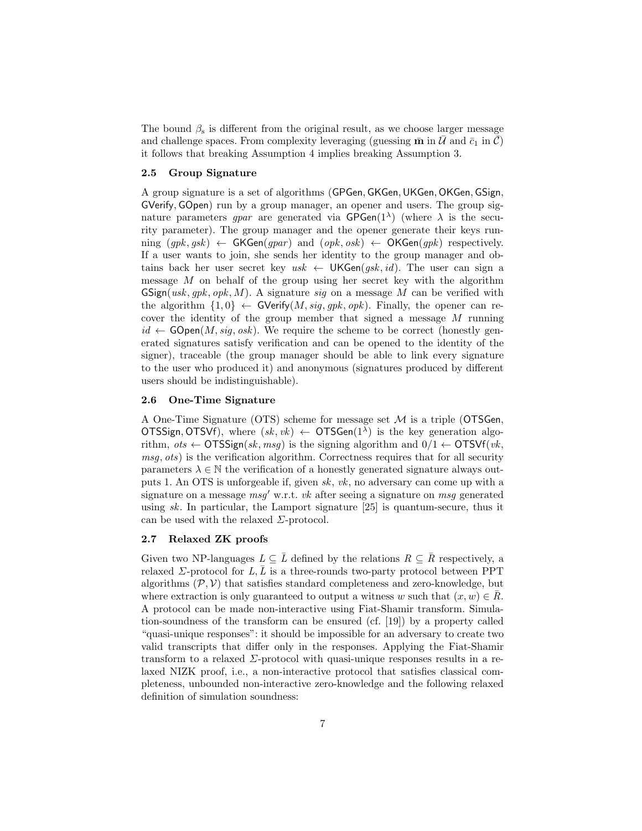The bound  $\beta_s$  is different from the original result, as we choose larger message and challenge spaces. From complexity leveraging (guessing  $\bar{m}$  in  $\bar{U}$  and  $\bar{c}_1$  in  $\bar{C}$ ) it follows that breaking Assumption 4 implies breaking Assumption 3.

## 2.5 Group Signature

A group signature is a set of algorithms (GPGen, GKGen,UKGen, OKGen, GSign, GVerify, GOpen) run by a group manager, an opener and users. The group signature parameters gpar are generated via  $\mathsf{GPGen}(1^{\lambda})$  (where  $\lambda$  is the security parameter). The group manager and the opener generate their keys running  $(gpk, gsk) \leftarrow$  GKGen(gpar) and  $(\text{opk}, \text{osk}) \leftarrow$  OKGen(gpk) respectively. If a user wants to join, she sends her identity to the group manager and obtains back her user secret key usk  $\leftarrow$  UKGen(gsk, id). The user can sign a message M on behalf of the group using her secret key with the algorithm  $GSign(usk, qpk, opk, M)$ . A signature sig on a message M can be verified with the algorithm  $\{1,0\} \leftarrow$  GVerify $(M, sig, gpk, opk)$ . Finally, the opener can recover the identity of the group member that signed a message M running  $id \leftarrow \textsf{GOpen}(M, sig, osk)$ . We require the scheme to be correct (honestly generated signatures satisfy verification and can be opened to the identity of the signer), traceable (the group manager should be able to link every signature to the user who produced it) and anonymous (signatures produced by different users should be indistinguishable).

### 2.6 One-Time Signature

A One-Time Signature (OTS) scheme for message set M is a triple (OTSGen, OTSSign, OTSVf), where  $(sk, vk) \leftarrow$  OTSGen $(1^{\lambda})$  is the key generation algorithm,  $ots \leftarrow \text{OTSSign}(sk, msg)$  is the signing algorithm and  $0/1 \leftarrow \text{OTSVf}(vk,$ msg, ots) is the verification algorithm. Correctness requires that for all security parameters  $\lambda \in \mathbb{N}$  the verification of a honestly generated signature always outputs 1. An OTS is unforgeable if, given sk, vk, no adversary can come up with a signature on a message  $msg'$  w.r.t. vk after seeing a signature on msg generated using sk. In particular, the Lamport signature [25] is quantum-secure, thus it can be used with the relaxed  $\Sigma$ -protocol.

#### 2.7 Relaxed ZK proofs

Given two NP-languages  $L \subseteq \overline{L}$  defined by the relations  $R \subseteq \overline{R}$  respectively, a relaxed  $\Sigma$ -protocol for  $L, \bar{L}$  is a three-rounds two-party protocol between PPT algorithms  $(\mathcal{P}, \mathcal{V})$  that satisfies standard completeness and zero-knowledge, but where extraction is only guaranteed to output a witness w such that  $(x, w) \in R$ . A protocol can be made non-interactive using Fiat-Shamir transform. Simulation-soundness of the transform can be ensured (cf. [19]) by a property called "quasi-unique responses": it should be impossible for an adversary to create two valid transcripts that differ only in the responses. Applying the Fiat-Shamir transform to a relaxed  $\Sigma$ -protocol with quasi-unique responses results in a relaxed NIZK proof, i.e., a non-interactive protocol that satisfies classical completeness, unbounded non-interactive zero-knowledge and the following relaxed definition of simulation soundness: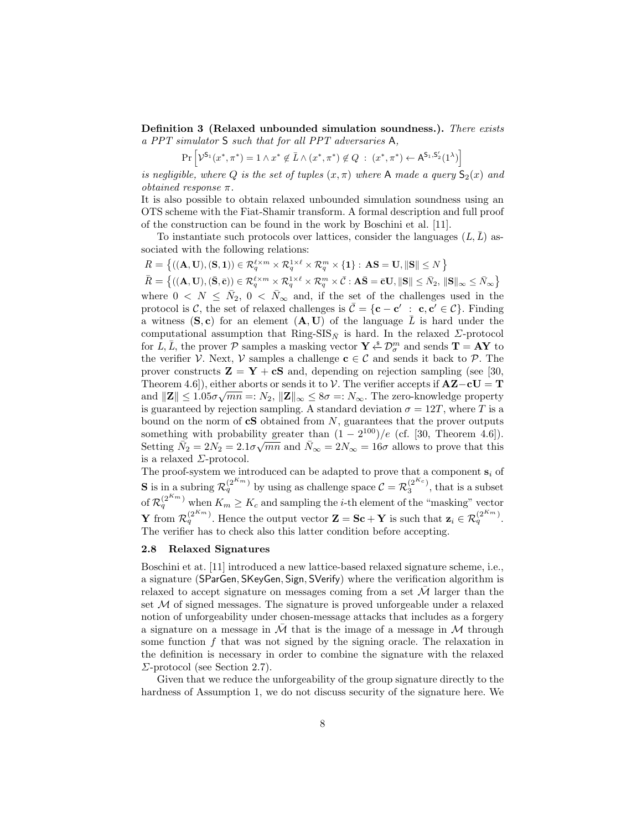Definition 3 (Relaxed unbounded simulation soundness.). There exists a PPT simulator S such that for all PPT adversaries A,

$$
\Pr\left[\mathcal{V}^{\mathsf{S}_1}(x^*, \pi^*) = 1 \land x^* \notin \bar{L} \land (x^*, \pi^*) \notin Q \ : \ (x^*, \pi^*) \leftarrow \mathsf{A}^{\mathsf{S}_1, \mathsf{S}_2'}(1^{\lambda})\right]
$$

is negligible, where Q is the set of tuples  $(x, \pi)$  where A made a query  $S_2(x)$  and *obtained response*  $\pi$ .

It is also possible to obtain relaxed unbounded simulation soundness using an OTS scheme with the Fiat-Shamir transform. A formal description and full proof of the construction can be found in the work by Boschini et al. [11].

To instantiate such protocols over lattices, consider the languages  $(L, \overline{L})$  associated with the following relations:

 $R = \left\{ ((\mathbf{A}, \mathbf{U}), (\mathbf{S}, \mathbf{1})) \in \mathcal{R}_q^{\ell \times m} \times \mathcal{R}_q^{1 \times \ell} \times \mathcal{R}_q^m \times \{\mathbf{1}\} : \, \mathbf{AS} = \mathbf{U}, \|\mathbf{S}\| \leq N \right\}$  $\bar{R} = \left\{ ((\mathbf{A}, \mathbf{U}), (\bar{\mathbf{S}}, \bar{\mathbf{c}})) \in \mathcal{R}_q^{\ell \times m} \times \mathcal{R}_q^{1 \times \ell} \times \mathcal{R}_q^m \times \bar{\mathcal{C}} : \mathbf{A}\bar{\mathbf{S}} = \bar{\mathbf{c}}\mathbf{U}, \|\mathbf{S}\| \leq \bar{N}_2, \|\mathbf{S}\|_{\infty} \leq \bar{N}_{\infty} \right\}$ where  $0 \le N \le \bar{N}_2$ ,  $0 \le \bar{N}_{\infty}$  and, if the set of the challenges used in the protocol is C, the set of relaxed challenges is  $\bar{\mathcal{C}} = \{c - c' : c, c' \in \mathcal{C}\}\.$  Finding a witness  $(S, c)$  for an element  $(A, U)$  of the language L is hard under the computational assumption that Ring-SIS<sub>N</sub> is hard. In the relaxed  $\Sigma$ -protocol for L, L, the prover P samples a masking vector  $\mathbf{Y} \stackrel{\ast}{\leftarrow} \mathcal{D}_{\sigma}^{m}$  and sends  $\mathbf{T} = \mathbf{AY}$  to the verifier V. Next, V samples a challenge  $c \in C$  and sends it back to P. The prover constructs  $\mathbf{Z} = \mathbf{Y} + \mathbf{c} \mathbf{S}$  and, depending on rejection sampling (see [30, Theorem 4.6]), either aborts or sends it to  $V$ . The verifier accepts if  $\mathbf{AZ}-c\mathbf{U}=\mathbf{T}$ and  $\|\mathbf{Z}\| \leq 1.05\sigma\sqrt{mn} =: N_2, \|\mathbf{Z}\|_{\infty} \leq 8\sigma =: N_{\infty}$ . The zero-knowledge property is guaranteed by rejection sampling. A standard deviation  $\sigma = 12T$ , where T is a bound on the norm of  $cS$  obtained from  $N$ , guarantees that the prover outputs something with probability greater than  $(1 - 2^{100})/e$  (cf. [30, Theorem 4.6]). Setting  $\overline{\tilde{N}_2} = 2N_2 = 2.1\sigma\sqrt{mn}$  and  $\overline{N}_{\infty} = 2N_{\infty} = 16\sigma$  allows to prove that this is a relaxed  $\Sigma$ -protocol.

The proof-system we introduced can be adapted to prove that a component  $s_i$  of **S** is in a subring  $\mathcal{R}_q^{(2^{K_m})}$  by using as challenge space  $\mathcal{C} = \mathcal{R}_3^{(2^{K_c})}$ , that is a subset of  $\mathcal{R}_q^{(2^{K_m})}$  when  $K_m \geq K_c$  and sampling the *i*-th element of the "masking" vector **Y** from  $\mathcal{R}_q^{(2^{K_m})}$ . Hence the output vector  $\mathbf{Z} = \mathbf{Sc} + \mathbf{Y}$  is such that  $\mathbf{z}_i \in \mathcal{R}_q^{(2^{K_m})}$ . The verifier has to check also this latter condition before accepting.

#### 2.8 Relaxed Signatures

Boschini et at. [11] introduced a new lattice-based relaxed signature scheme, i.e., a signature (SParGen, SKeyGen, Sign, SVerify) where the verification algorithm is relaxed to accept signature on messages coming from a set  $\mathcal M$  larger than the set  $\mathcal M$  of signed messages. The signature is proved unforgeable under a relaxed notion of unforgeability under chosen-message attacks that includes as a forgery a signature on a message in  $\overline{\mathcal{M}}$  that is the image of a message in  $\mathcal M$  through some function  $f$  that was not signed by the signing oracle. The relaxation in the definition is necessary in order to combine the signature with the relaxed  $\Sigma$ -protocol (see Section 2.7).

Given that we reduce the unforgeability of the group signature directly to the hardness of Assumption 1, we do not discuss security of the signature here. We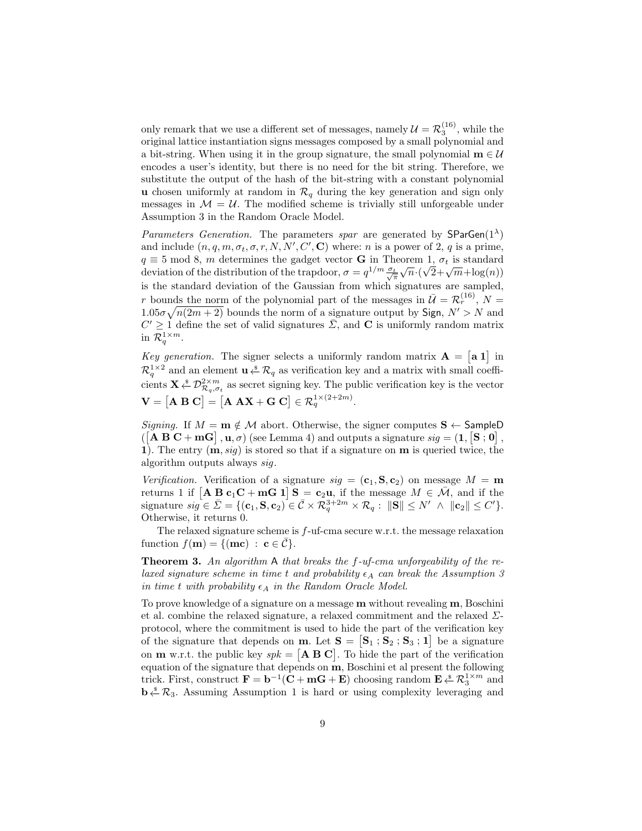only remark that we use a different set of messages, namely  $\mathcal{U} = \mathcal{R}_3^{(16)}$ , while the original lattice instantiation signs messages composed by a small polynomial and a bit-string. When using it in the group signature, the small polynomial  $\mathbf{m} \in \mathcal{U}$ encodes a user's identity, but there is no need for the bit string. Therefore, we substitute the output of the hash of the bit-string with a constant polynomial u chosen uniformly at random in  $\mathcal{R}_q$  during the key generation and sign only messages in  $\mathcal{M} = \mathcal{U}$ . The modified scheme is trivially still unforgeable under Assumption 3 in the Random Oracle Model.

Parameters Generation. The parameters spar are generated by  $SParGen(1^{\lambda})$ and include  $(n, q, m, \sigma_t, \sigma, r, N, N', C', \mathbf{C})$  where: n is a power of 2, q is a prime,  $q \equiv 5 \mod 8$ , m determines the gadget vector **G** in Theorem 1,  $\sigma_t$  is standard  $q \equiv 3 \mod 8$ , *m* determines the gauget vector **G** in Theorem 1,  $\sigma_t$  is standard deviation of the distribution of the trapdoor,  $\sigma = q^{1/m} \frac{\sigma_t}{\sqrt{\pi}} \sqrt{n} \cdot (\sqrt{2} + \sqrt{m} + \log(n))$ is the standard deviation of the Gaussian from which signatures are sampled, r bounds the norm of the polynomial part of the messages in  $\bar{\mathcal{U}} = \mathcal{R}_r^{(16)}$ ,  $N =$  $1.05\sigma\sqrt{n(2m+2)}$  bounds the norm of a signature output by Sign,  $N' > N$  and  $C' \geq 1$  define the set of valid signatures  $\overline{\Sigma}$ , and **C** is uniformly random matrix in  $\mathcal{R}_q^{1 \times m}$ .

Key generation. The signer selects a uniformly random matrix  $A = \begin{bmatrix} a & 1 \end{bmatrix}$  in  $\mathcal{R}_q^{1\times 2}$  and an element  $\mathbf{u} \overset{\ast}{\leftarrow} \mathcal{R}_q$  as verification key and a matrix with small coefficients  $\mathbf{X} \overset{\ast}{\leftarrow} \mathcal{D}^{2\times m}_{\mathcal{R}_q, \sigma_t}$  as secret signing key. The public verification key is the vector  $\mathbf{V} = [\mathbf{A} \ \mathbf{B} \ \mathbf{C}] = [\mathbf{A} \ \mathbf{A} \mathbf{X} + \mathbf{G} \ \mathbf{C}] \in \mathcal{R}_q^{1 \times (2+2m)}.$ 

Signing. If  $M = m \notin \mathcal{M}$  abort. Otherwise, the signer computes  $S \leftarrow$  SampleD  $\left(\begin{bmatrix} \mathbf{A} \ \mathbf{B} \ \mathbf{C} + \mathbf{m} \mathbf{G} \end{bmatrix}, \mathbf{u}, \sigma\right)$  (see Lemma 4) and outputs a signature  $sig = (1, \mathbf{S}, \mathbf{0})$ , 1). The entry  $(m, sig)$  is stored so that if a signature on  $m$  is queried twice, the algorithm outputs always sig.

Verification. Verification of a signature  $sig = (\mathbf{c}_1, \mathbf{S}, \mathbf{c}_2)$  on message  $M = \mathbf{m}$ returns 1 if  $\begin{bmatrix} \mathbf{A} & \mathbf{B} & \mathbf{c}_1 \mathbf{C} + \mathbf{m} \mathbf{G} & \mathbf{1} \end{bmatrix}$   $\mathbf{S} = \mathbf{c}_2 \mathbf{u}$ , if the message  $M \in \overline{\mathcal{M}}$ , and if the signature  $sig \in \bar{\Sigma} = \{(\mathbf{c}_1, \mathbf{S}, \mathbf{c}_2) \in \bar{\mathcal{C}} \times \mathcal{R}_q^{3+2m} \times \mathcal{R}_q : ||\mathbf{S}|| \leq N' \land ||\mathbf{c}_2|| \leq C'\}.$ Otherwise, it returns 0.

The relaxed signature scheme is  $f$ -uf-cma secure w.r.t. the message relaxation function  $f(\mathbf{m}) = \{(\mathbf{mc}) : \mathbf{c} \in \mathcal{C}\}.$ 

**Theorem 3.** An algorithm A that breaks the  $f$ -uf-cma unforgeability of the relaxed signature scheme in time t and probability  $\epsilon_A$  can break the Assumption 3 in time t with probability  $\epsilon_A$  in the Random Oracle Model.

To prove knowledge of a signature on a message m without revealing m, Boschini et al. combine the relaxed signature, a relaxed commitment and the relaxed  $\Sigma$ protocol, where the commitment is used to hide the part of the verification key of the signature that depends on **m**. Let  $S = [S_1; S_2; S_3; 1]$  be a signature on **m** w.r.t. the public key  $spk = [\mathbf{A} \ \mathbf{B} \ \mathbf{C}]$ . To hide the part of the verification equation of the signature that depends on **, Boschini et al present the following** trick. First, construct  $\mathbf{F} = \mathbf{b}^{-1}(\mathbf{C} + \mathbf{m}\mathbf{G} + \mathbf{E})$  choosing random  $\mathbf{E} \overset{\ast}{\leftarrow} \mathcal{R}_3^{1 \times m}$  and  $\mathbf{b} \stackrel{\ast}{\leftarrow} \mathcal{R}_3$ . Assuming Assumption 1 is hard or using complexity leveraging and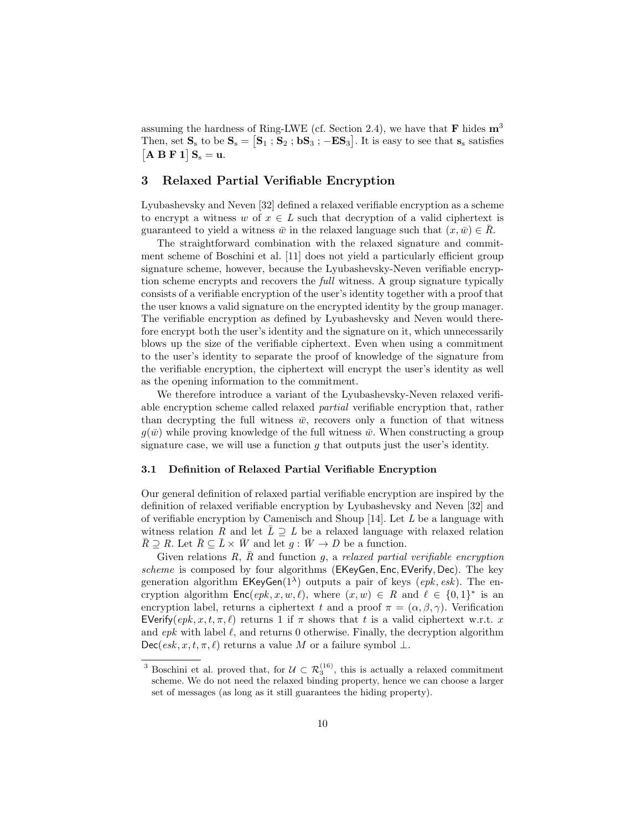assuming the hardness of Ring-LWE (cf. Section 2.4), we have that  $\bf{F}$  hides  $\bf{m}^3$ Then, set  $S_s$  to be  $S_s = [S_1; S_2; bS_3; -ES_3]$ . It is easy to see that  $s_s$  satisfies  $[A B F 1] S<sub>s</sub> = u.$ 

# 3 Relaxed Partial Verifiable Encryption

Lyubashevsky and Neven [32] defined a relaxed verifiable encryption as a scheme to encrypt a witness w of  $x \in L$  such that decryption of a valid ciphertext is guaranteed to yield a witness  $\bar{w}$  in the relaxed language such that  $(x, \bar{w}) \in \bar{R}$ .

The straightforward combination with the relaxed signature and commitment scheme of Boschini et al. [11] does not yield a particularly efficient group signature scheme, however, because the Lyubashevsky-Neven verifiable encryption scheme encrypts and recovers the *full* witness. A group signature typically consists of a verifiable encryption of the user's identity together with a proof that the user knows a valid signature on the encrypted identity by the group manager. The verifiable encryption as defined by Lyubashevsky and Neven would therefore encrypt both the user's identity and the signature on it, which unnecessarily blows up the size of the verifiable ciphertext. Even when using a commitment to the user's identity to separate the proof of knowledge of the signature from the verifiable encryption, the ciphertext will encrypt the user's identity as well as the opening information to the commitment.

We therefore introduce a variant of the Lyubashevsky-Neven relaxed verifiable encryption scheme called relaxed partial verifiable encryption that, rather than decrypting the full witness  $\bar{w}$ , recovers only a function of that witness  $g(\bar{w})$  while proving knowledge of the full witness  $\bar{w}$ . When constructing a group signature case, we will use a function  $g$  that outputs just the user's identity.

#### 3.1 Definition of Relaxed Partial Verifiable Encryption

Our general definition of relaxed partial verifiable encryption are inspired by the definition of relaxed verifiable encryption by Lyubashevsky and Neven [32] and of verifiable encryption by Camenisch and Shoup  $[14]$ . Let  $L$  be a language with witness relation R and let  $\overline{L} \supseteq L$  be a relaxed language with relaxed relation  $\overline{R} \supseteq R$ . Let  $\overline{R} \subseteq \overline{L} \times \overline{W}$  and let  $g : \overline{W} \to D$  be a function.

Given relations  $R, \bar{R}$  and function g, a relaxed partial verifiable encryption scheme is composed by four algorithms (EKeyGen, Enc, EVerify, Dec). The key generation algorithm  $EKeyGen(1^{\lambda})$  outputs a pair of keys (epk, esk). The encryption algorithm  $\textsf{Enc}(\textit{epk}, x, w, \ell)$ , where  $(x, w) \in R$  and  $\ell \in \{0, 1\}^*$  is an encryption label, returns a ciphertext t and a proof  $\pi = (\alpha, \beta, \gamma)$ . Verification EVerify( $epk, x, t, \pi, l$ ) returns 1 if  $\pi$  shows that t is a valid ciphertext w.r.t. x and  $epk$  with label  $\ell$ , and returns 0 otherwise. Finally, the decryption algorithm Dec(esk, x, t,  $\pi$ ,  $\ell$ ) returns a value M or a failure symbol  $\bot$ .

<sup>&</sup>lt;sup>3</sup> Boschini et al. proved that, for  $\mathcal{U} \subset \mathcal{R}_3^{(16)}$ , this is actually a relaxed commitment scheme. We do not need the relaxed binding property, hence we can choose a larger set of messages (as long as it still guarantees the hiding property).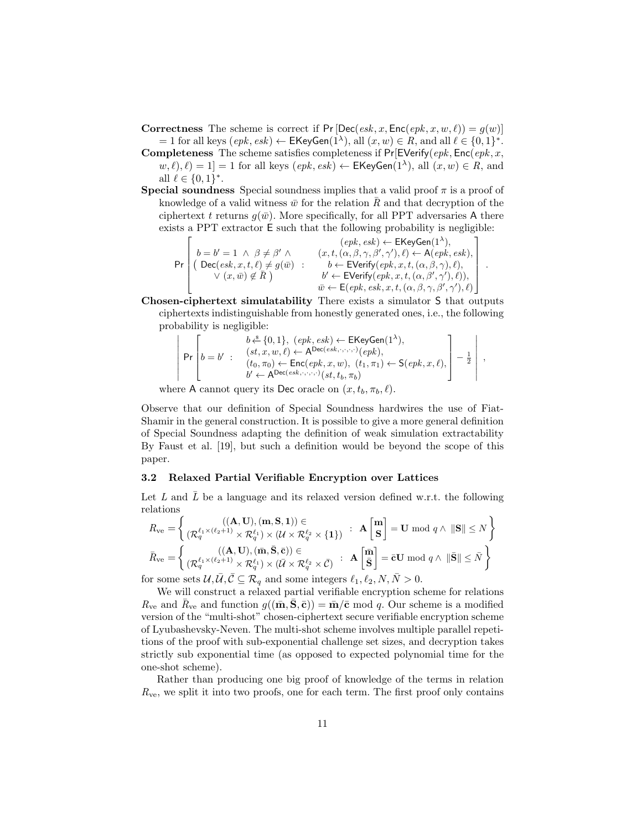**Correctness** The scheme is correct if Pr  $[Dec(esk, x, Enc(epk, x, w, \ell)) = g(w)]$  $= 1$  for all keys  $(\text{epk}, \text{esk}) \leftarrow \mathsf{EKeyGen}(1^{\lambda}),$  all  $(x, w) \in R$ , and all  $\ell \in \{0, 1\}^*$ .

**Completeness** The scheme satisfies completeness if  $Pr[$ EVerify( $epk$ , Enc( $epk$ , x,  $w, \ell, \ell = 1$  = 1 for all keys  $(\epsilon pk, \epsilon sk) \leftarrow \mathsf{EKeyGen}(1^{\lambda}),$  all  $(x, w) \in R$ , and all  $\ell \in \{0, 1\}^*$ .

**Special soundness** Special soundness implies that a valid proof  $\pi$  is a proof of knowledge of a valid witness  $\bar{w}$  for the relation  $\bar{R}$  and that decryption of the ciphertext t returns  $q(\bar{w})$ . More specifically, for all PPT adversaries A there exists a PPT extractor E such that the following probability is negligible:

Pr  $\sqrt{ }$  $\begin{array}{c} \begin{array}{c} \begin{array}{c} \begin{array}{c} \end{array} \\ \begin{array}{c} \end{array} \end{array} \end{array} \end{array}$  $b = b' = 1 \land \beta \neq \beta' \land$  $\big(\text{ Dec}(esk, x, t, \ell) \neq g(\bar{w})\big)$  $\vee$   $(x,\bar{w}) \notin \bar{R}$ ) :  $(\text{epk}, \text{esk}) \leftarrow$  EKeyGen $(1^{\lambda}),$  $(x, t, (\alpha, \beta, \gamma, \beta', \gamma'), \ell) \leftarrow A(\text{epk}, \text{esk}),$  $b \leftarrow$  EVerify $(\varrho p k, x, t, (\alpha, \beta, \gamma), \ell),$  $b' \leftarrow$  EVerify $(\text{epk}, x, t, (\alpha, \beta', \gamma'), \ell)),$  $\overline{w} \leftarrow \mathsf{E}(epk, esk, x, t, (\alpha, \beta, \gamma, \beta', \gamma'), \ell)$ 1  $\mathbf{I}$  $\mathbf{I}$  $\mathbf{I}$  $\mathbf{I}$ .

Chosen-ciphertext simulatability There exists a simulator S that outputs ciphertexts indistinguishable from honestly generated ones, i.e., the following probability is negligible:

$$
\left|\begin{array}{ll}b\stackrel{\delta}{\leftarrow}\{0,1\},~(epk,esk)\leftarrow\textsf{EKeyGen}(1^\lambda),\\(st,x,w,\ell)\leftarrow\textsf{A^{Dec}(esk,\cdot,\cdot,\cdot,\cdot)}(epk),\\(t_0,\pi_0)\leftarrow\textsf{Enc}(epk,x,w),~(t_1,\pi_1)\leftarrow\textsf{S}(epk,x,\ell),\\b'\leftarrow\textsf{A^{Dec}(esk,\cdot,\cdot,\cdot,\cdot)}(st,t_b,\pi_b)\end{array}\right]-\tfrac{1}{2}\right|\right.,
$$

where A cannot query its Dec oracle on  $(x, t_b, \pi_b, \ell)$ .

Observe that our definition of Special Soundness hardwires the use of Fiat-Shamir in the general construction. It is possible to give a more general definition of Special Soundness adapting the definition of weak simulation extractability By Faust et al. [19], but such a definition would be beyond the scope of this paper.

#### 3.2 Relaxed Partial Verifiable Encryption over Lattices

Let L and  $\overline{L}$  be a language and its relaxed version defined w.r.t. the following relations

$$
R_{\rm{ve}} = \left\{ \begin{array}{l} ((\mathbf{A}, \mathbf{U}), (\mathbf{m}, \mathbf{S}, \mathbf{1})) \in \\ (\mathcal{R}_{q}^{\ell_{1} \times (\ell_{2}+1)} \times \mathcal{R}_{q}^{\ell_{1}}) \times (\mathcal{U} \times \mathcal{R}_{q}^{\ell_{2}} \times \{\mathbf{1}\}) & : & \mathbf{A} \begin{bmatrix} \mathbf{m} \\ \mathbf{S} \end{bmatrix} = \mathbf{U} \bmod q \land ||\mathbf{S}|| \leq N \end{array} \right\}
$$

$$
\bar{R}_{\rm{ve}} = \left\{ \begin{array}{l} ((\mathbf{A}, \mathbf{U}), (\bar{\mathbf{m}}, \bar{\mathbf{S}}, \bar{\mathbf{c}})) \in \\ (\mathcal{R}_{q}^{\ell_{1} \times (\ell_{2}+1)} \times \mathcal{R}_{q}^{\ell_{1}}) \times (\bar{\mathcal{U}} \times \mathcal{R}_{q}^{\ell_{2}} \times \bar{\mathcal{C}}) & : & \mathbf{A} \begin{bmatrix} \bar{\mathbf{m}} \\ \bar{\mathbf{S}} \end{bmatrix} = \bar{\mathbf{c}} \mathbf{U} \bmod q \land ||\bar{\mathbf{S}}|| \leq \bar{N} \end{array} \right\}
$$

for some sets  $\mathcal{U}, \overline{\mathcal{U}}, \overline{\mathcal{C}} \subseteq \mathcal{R}_q$  and some integers  $\ell_1, \ell_2, N, \overline{N} > 0$ .

We will construct a relaxed partial verifiable encryption scheme for relations  $R_{\rm ve}$  and  $\bar{R}_{\rm ve}$  and function  $g((\bar{\mathbf{m}}, \bar{\mathbf{S}}, \bar{\mathbf{c}})) = \bar{\mathbf{m}}/\bar{\mathbf{c}}$  mod q. Our scheme is a modified version of the "multi-shot" chosen-ciphertext secure verifiable encryption scheme of Lyubashevsky-Neven. The multi-shot scheme involves multiple parallel repetitions of the proof with sub-exponential challenge set sizes, and decryption takes strictly sub exponential time (as opposed to expected polynomial time for the one-shot scheme).

Rather than producing one big proof of knowledge of the terms in relation  $R_{\rm ve}$ , we split it into two proofs, one for each term. The first proof only contains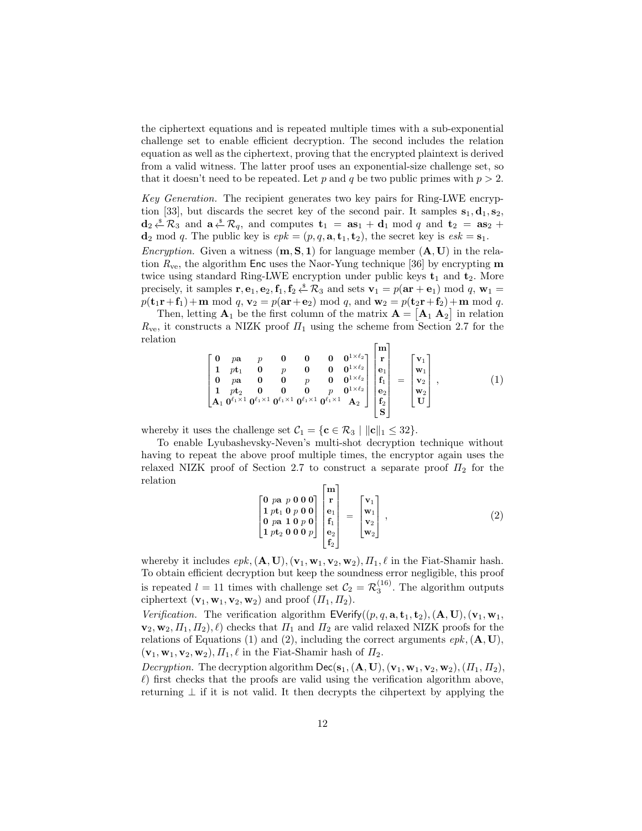the ciphertext equations and is repeated multiple times with a sub-exponential challenge set to enable efficient decryption. The second includes the relation equation as well as the ciphertext, proving that the encrypted plaintext is derived from a valid witness. The latter proof uses an exponential-size challenge set, so that it doesn't need to be repeated. Let p and q be two public primes with  $p > 2$ .

Key Generation. The recipient generates two key pairs for Ring-LWE encryption [33], but discards the secret key of the second pair. It samples  $s_1, d_1, s_2$ ,  $\mathbf{d}_2 \overset{\hspace{0.1em}\mathsf{\scriptscriptstyle\$}}{\leftarrow} \mathcal{R}_3$  and  $\mathbf{a} \overset{\hspace{0.1em}\mathsf{\scriptscriptstyle\$}}{\leftarrow} \mathcal{R}_q$ , and computes  $\mathbf{t}_1 = \mathbf{a} \mathbf{s}_1 + \mathbf{d}_1 \bmod q$  and  $\mathbf{t}_2 = \mathbf{a} \mathbf{s}_2 + \mathbf{d}_2 \mathbf{s}_3$  $\mathbf{d}_2 \text{ mod } q$ . The public key is  $epk = (p, q, \mathbf{a}, \mathbf{t}_1, \mathbf{t}_2)$ , the secret key is  $esk = \mathbf{s}_1$ .

*Encryption.* Given a witness  $(m, S, 1)$  for language member  $(A, U)$  in the relation  $R_{\rm ve}$ , the algorithm Enc uses the Naor-Yung technique [36] by encrypting m twice using standard Ring-LWE encryption under public keys  $t_1$  and  $t_2$ . More precisely, it samples  $\mathbf{r}, \mathbf{e}_1, \mathbf{e}_2, \mathbf{f}_1, \mathbf{f}_2 \stackrel{\$}{\leftarrow} \mathcal{R}_3$  and sets  $\mathbf{v}_1 = p(\mathbf{ar} + \mathbf{e}_1) \mod q$ ,  $\mathbf{w}_1 =$  $p(\mathbf{t}_1\mathbf{r}+\mathbf{f}_1)+\mathbf{m} \bmod q$ ,  $\mathbf{v}_2 = p(\mathbf{ar}+\mathbf{e}_2) \bmod q$ , and  $\mathbf{w}_2 = p(\mathbf{t}_2\mathbf{r}+\mathbf{f}_2)+\mathbf{m} \bmod q$ .

Then, letting  $\mathbf{A}_1$  be the first column of the matrix  $\mathbf{A} = [\mathbf{A}_1 \ \mathbf{A}_2]$  in relation  $R_{\rm ve}$ , it constructs a NIZK proof  $\Pi_1$  using the scheme from Section 2.7 for the relation

$$
\begin{bmatrix} 0 & pa & p & 0 & 0 & 0 & 0^{1 \times \ell_2} \\ 1 & pt_1 & 0 & p & 0 & 0 & 0^{1 \times \ell_2} \\ 0 & pa & 0 & 0 & p & 0 & 0^{1 \times \ell_2} \\ 1 & pt_2 & 0 & 0 & 0 & p & 0^{1 \times \ell_2} \\ A_1 & 0^{\ell_1 \times 1} & 0^{\ell_1 \times 1} & 0^{\ell_1 \times 1} & 0^{\ell_1 \times 1} & 0^{\ell_1 \times 1} & A_2 \end{bmatrix} \begin{bmatrix} m \\ r \\ e_1 \\ f_1 \\ e_2 \\ f_2 \\ f_3 \end{bmatrix} = \begin{bmatrix} v_1 \\ w_1 \\ v_2 \\ w_2 \\ w_3 \\ t \end{bmatrix}, \qquad (1)
$$

whereby it uses the challenge set  $C_1 = \{c \in \mathcal{R}_3 \mid ||c||_1 \leq 32\}.$ 

To enable Lyubashevsky-Neven's multi-shot decryption technique without having to repeat the above proof multiple times, the encryptor again uses the relaxed NIZK proof of Section 2.7 to construct a separate proof  $\Pi_2$  for the relation E.

$$
\begin{bmatrix} 0 & pa & p & 0 & 0 & 0 \\ 1 & pt_1 & 0 & p & 0 & 0 \\ 0 & pa & 1 & 0 & p & 0 \\ 1 & pt_2 & 0 & 0 & 0 & p \end{bmatrix} \begin{bmatrix} \mathbf{m} \\ \mathbf{r} \\ \mathbf{e}_1 \\ \mathbf{f}_1 \\ \mathbf{e}_2 \\ \mathbf{f}_2 \end{bmatrix} = \begin{bmatrix} \mathbf{v}_1 \\ \mathbf{w}_1 \\ \mathbf{v}_2 \\ \mathbf{w}_2 \end{bmatrix}, \tag{2}
$$

whereby it includes  $epk, (\mathbf{A}, \mathbf{U}), (\mathbf{v}_1, \mathbf{w}_1, \mathbf{v}_2, \mathbf{w}_2), \Pi_1, \ell$  in the Fiat-Shamir hash. To obtain efficient decryption but keep the soundness error negligible, this proof is repeated  $l = 11$  times with challenge set  $C_2 = \mathcal{R}_3^{(16)}$ . The algorithm outputs ciphertext  $(\mathbf{v}_1, \mathbf{w}_1, \mathbf{v}_2, \mathbf{w}_2)$  and proof  $(\Pi_1, \Pi_2)$ .

Verification. The verification algorithm  $\mathsf{EVerify}((p,q,\mathbf{a},\mathbf{t}_1,\mathbf{t}_2),(\mathbf{A},\mathbf{U}),(\mathbf{v}_1,\mathbf{w}_1,$  $\mathbf{v}_2, \mathbf{w}_2, \Pi_1, \Pi_2$ ,  $\ell$ ) checks that  $\Pi_1$  and  $\Pi_2$  are valid relaxed NIZK proofs for the relations of Equations (1) and (2), including the correct arguments  $epk, (\mathbf{A}, \mathbf{U}),$  $(\mathbf{v}_1, \mathbf{w}_1, \mathbf{v}_2, \mathbf{w}_2), \Pi_1, \ell$  in the Fiat-Shamir hash of  $\Pi_2$ .

*Decryption.* The decryption algorithm  $\text{Dec}(s_1, (A, U), (v_1, w_1, v_2, w_2), (\Pi_1, \Pi_2),$  $\ell$ ) first checks that the proofs are valid using the verification algorithm above, returning  $\perp$  if it is not valid. It then decrypts the cihpertext by applying the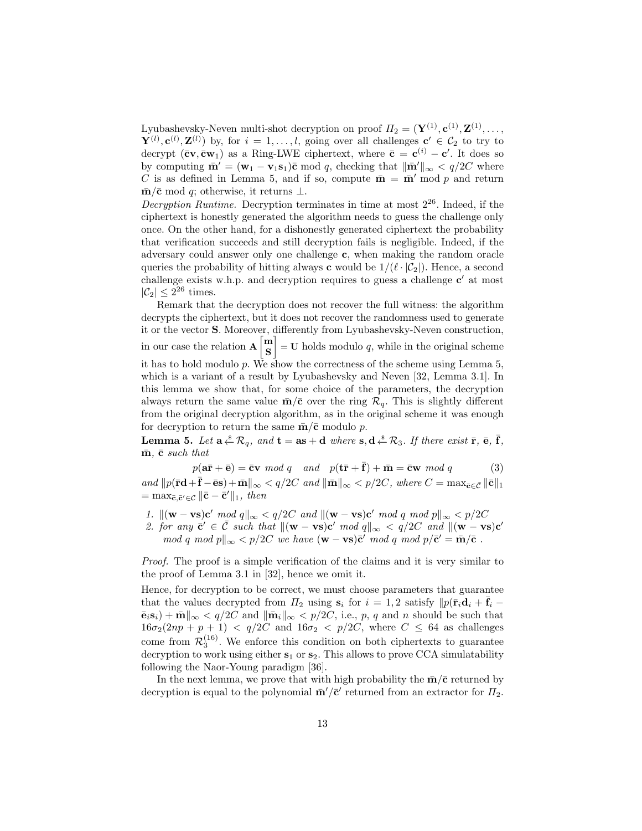Lyubashevsky-Neven multi-shot decryption on proof  $\Pi_2 = (\mathbf{Y}^{(1)}, \mathbf{c}^{(1)}, \mathbf{Z}^{(1)}, \dots,$  $\mathbf{Y}^{(l)}$ ,  $\mathbf{c}^{(l)}$ ,  $\mathbf{Z}^{(l)}$ ) by, for  $i = 1, \ldots, l$ , going over all challenges  $\mathbf{c}' \in \mathcal{C}_2$  to try to decrypt  $(\bar{c}\mathbf{v}, \bar{c}\mathbf{w}_1)$  as a Ring-LWE ciphertext, where  $\bar{c} = \mathbf{c}^{(i)} - \mathbf{c}'$ . It does so by computing  $\bar{\mathbf{m}}' = (\mathbf{w}_1 - \mathbf{v}_1 \mathbf{s}_1)\bar{\mathbf{c}}$  mod q, checking that  $\|\bar{\mathbf{m}}'\|_{\infty} < q/2C$  where C is as defined in Lemma 5, and if so, compute  $\bar{\mathbf{m}} = \bar{\mathbf{m}}'$  mod p and return  $\bar{\mathbf{m}}/\bar{\mathbf{c}}$  mod q; otherwise, it returns ⊥.

Decryption Runtime. Decryption terminates in time at most  $2^{26}$ . Indeed, if the ciphertext is honestly generated the algorithm needs to guess the challenge only once. On the other hand, for a dishonestly generated ciphertext the probability that verification succeeds and still decryption fails is negligible. Indeed, if the adversary could answer only one challenge c, when making the random oracle queries the probability of hitting always **c** would be  $1/(\ell \cdot |\mathcal{C}_2|)$ . Hence, a second challenge exists w.h.p. and decryption requires to guess a challenge  $c'$  at most  $|\mathcal{C}_2| \leq 2^{26}$  times.

Remark that the decryption does not recover the full witness: the algorithm decrypts the ciphertext, but it does not recover the randomness used to generate it or the vector S. Moreover, differently from Lyubashevsky-Neven construction, in our case the relation  $\mathbf{A} \begin{bmatrix} \mathbf{m} \\ \mathbf{c} \end{bmatrix}$ S  $\vert$  = U holds modulo q, while in the original scheme it has to hold modulo  $p$ . We show the correctness of the scheme using Lemma 5, which is a variant of a result by Lyubashevsky and Neven [32, Lemma 3.1]. In this lemma we show that, for some choice of the parameters, the decryption always return the same value  $\bar{\mathbf{m}}/\bar{\mathbf{c}}$  over the ring  $\mathcal{R}_q$ . This is slightly different from the original decryption algorithm, as in the original scheme it was enough for decryption to return the same  $\bar{m}/\bar{c}$  modulo p.

**Lemma 5.** Let  $\mathbf{a} \stackrel{\ast}{\leftarrow} \mathcal{R}_q$ , and  $\mathbf{t} = \mathbf{a}\mathbf{s} + \mathbf{d}$  where  $\mathbf{s}, \mathbf{d} \stackrel{\ast}{\leftarrow} \mathcal{R}_3$ . If there exist  $\bar{\mathbf{r}}$ ,  $\bar{\mathbf{e}}$ ,  $\bar{\mathbf{f}}$ ,  $\bar{m}$ ,  $\bar{c}$  such that

 $p(a\bar{\mathbf{r}} + \bar{\mathbf{e}}) = \bar{\mathbf{c}}\mathbf{v} \mod q \text{ and } p(\mathbf{t}\bar{\mathbf{r}} + \bar{\mathbf{f}}) + \bar{\mathbf{m}} = \bar{\mathbf{c}}\mathbf{w} \mod q \text{ (3)}$ 

and  $||p(\mathbf{\bar{r}d}+\mathbf{\bar{f}}-\mathbf{\bar{e}s})+\mathbf{\bar{m}}||_{\infty} < q/2C$  and  $||\mathbf{\bar{m}}||_{\infty} < p/2C$ , where  $C = \max_{\mathbf{\bar{c}} \in \bar{C}} ||\mathbf{\bar{c}}||_1$  $=\max_{\bar{\mathbf{c}}, \bar{\mathbf{c}}' \in \mathcal{C}} \|\bar{\mathbf{c}} - \bar{\mathbf{c}}'\|_1, \text{ then}$ 

- 1.  $\|(\mathbf{w} \mathbf{v}\mathbf{s})\mathbf{c}' \mod q\|_{\infty} < q/2C \text{ and } \|(\mathbf{w} \mathbf{v}\mathbf{s})\mathbf{c}' \mod q \mod p\|_{\infty} < p/2C$
- 2. for any  $\vec{c}' \in \vec{C}$  such that  $\|(w \mathbf{vs})\vec{c}' \mod q\|_{\infty} < q/2C$  and  $\|(w \mathbf{vs})\vec{c}'\|_{\infty}$ mod q mod  $p \|_{\infty} < p/2C$  we have  $(\mathbf{w} - \mathbf{v}\mathbf{s})\bar{\mathbf{c}}'$  mod q mod  $p/\bar{\mathbf{c}}' = \bar{\mathbf{m}}/\bar{\mathbf{c}}$ .

Proof. The proof is a simple verification of the claims and it is very similar to the proof of Lemma 3.1 in [32], hence we omit it.

Hence, for decryption to be correct, we must choose parameters that guarantee that the values decrypted from  $\Pi_2$  using  $s_i$  for  $i = 1, 2$  satisfy  $\|p(\bar{\mathbf{r}}_i \mathbf{d}_i + \mathbf{f}_i \bar{\mathbf{e}}_i\mathbf{s}_i$ ) +  $\bar{\mathbf{m}}\|_{\infty} < q/2C$  and  $\|\bar{\mathbf{m}}_i\|_{\infty} < p/2C$ , i.e., p, q and n should be such that  $16\sigma_2(2np + p + 1)$  <  $q/2C$  and  $16\sigma_2$  <  $p/2C$ , where  $C \leq 64$  as challenges come from  $\mathcal{R}_3^{(16)}$ . We enforce this condition on both ciphertexts to guarantee decryption to work using either  $s_1$  or  $s_2$ . This allows to prove CCA simulatability following the Naor-Young paradigm [36].

In the next lemma, we prove that with high probability the  $\bar{m}/\bar{c}$  returned by decryption is equal to the polynomial  $\bar{m}'/\bar{c}'$  returned from an extractor for  $\Pi_2$ .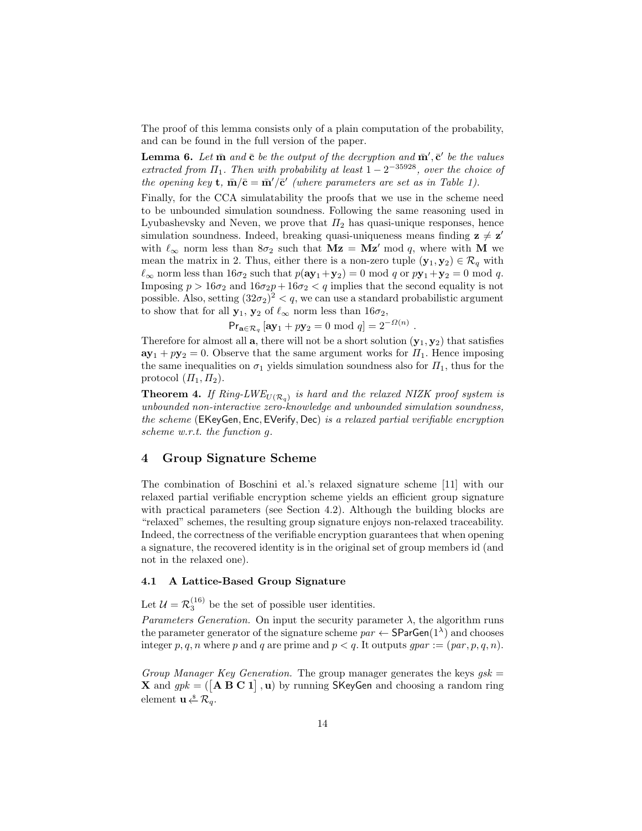The proof of this lemma consists only of a plain computation of the probability, and can be found in the full version of the paper.

**Lemma 6.** Let  $\bar{m}$  and  $\bar{c}$  be the output of the decryption and  $\bar{m}', \bar{c}'$  be the values extracted from  $\Pi_1$ . Then with probability at least  $1-2^{-35928}$ , over the choice of the opening key **t**,  $\bar{\mathbf{m}}/\bar{\mathbf{c}} = \bar{\mathbf{m}}'/\bar{\mathbf{c}}'$  (where parameters are set as in Table 1).

Finally, for the CCA simulatability the proofs that we use in the scheme need to be unbounded simulation soundness. Following the same reasoning used in Lyubashevsky and Neven, we prove that  $\Pi_2$  has quasi-unique responses, hence simulation soundness. Indeed, breaking quasi-uniqueness means finding  $z \neq z'$ with  $\ell_{\infty}$  norm less than  $8\sigma_2$  such that  $Mz = Mz' \mod q$ , where with M we mean the matrix in 2. Thus, either there is a non-zero tuple  $(\mathbf{y}_1, \mathbf{y}_2) \in \mathcal{R}_q$  with  $\ell_{\infty}$  norm less than  $16\sigma_2$  such that  $p(\mathbf{a}\mathbf{y}_1+\mathbf{y}_2) = 0 \text{ mod } q$  or  $p\mathbf{y}_1+\mathbf{y}_2 = 0 \text{ mod } q$ . Imposing  $p > 16\sigma_2$  and  $16\sigma_2 p + 16\sigma_2 < q$  implies that the second equality is not possible. Also, setting  $(32\sigma_2)^2 < q$ , we can use a standard probabilistic argument to show that for all  $y_1, y_2$  of  $\ell_{\infty}$  norm less than  $16\sigma_2$ ,

 $Pr_{\mathbf{a}\in\mathcal{R}_q}[\mathbf{a}\mathbf{y}_1+p\mathbf{y}_2=0 \mod q]=2^{-\Omega(n)}$ .

Therefore for almost all  $a$ , there will not be a short solution  $(y_1, y_2)$  that satisfies  $ay_1 + py_2 = 0$ . Observe that the same argument works for  $\Pi_1$ . Hence imposing the same inequalities on  $\sigma_1$  yields simulation soundness also for  $\Pi_1$ , thus for the protocol  $(\Pi_1, \Pi_2)$ .

**Theorem 4.** If  $Ring\text{-}LWE_{U(\mathcal{R}_q)}$  is hard and the relaxed NIZK proof system is unbounded non-interactive zero-knowledge and unbounded simulation soundness, the scheme (EKeyGen, Enc, EVerify, Dec) is a relaxed partial verifiable encryption scheme w.r.t. the function g.

# 4 Group Signature Scheme

The combination of Boschini et al.'s relaxed signature scheme [11] with our relaxed partial verifiable encryption scheme yields an efficient group signature with practical parameters (see Section 4.2). Although the building blocks are "relaxed" schemes, the resulting group signature enjoys non-relaxed traceability. Indeed, the correctness of the verifiable encryption guarantees that when opening a signature, the recovered identity is in the original set of group members id (and not in the relaxed one).

## 4.1 A Lattice-Based Group Signature

Let  $\mathcal{U} = \mathcal{R}_3^{(16)}$  be the set of possible user identities.

*Parameters Generation.* On input the security parameter  $\lambda$ , the algorithm runs the parameter generator of the signature scheme  $par \leftarrow$  SParGen $(1^{\lambda})$  and chooses integer p, q, n where p and q are prime and  $p < q$ . It outputs  $gpar := (par, p, q, n)$ .

Group Manager Key Generation. The group manager generates the keys  $qsk =$ **X** and  $gpk = (\begin{bmatrix} A & B & C & 1 \end{bmatrix}, u)$  by running SKeyGen and choosing a random ring element  $\mathbf{u} \stackrel{\ast}{\leftarrow} \mathcal{R}_q$ .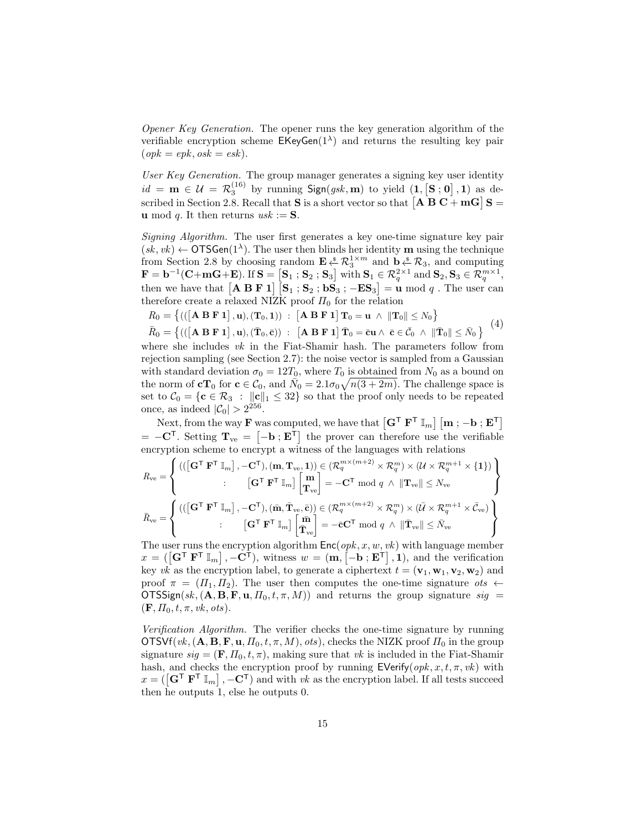Opener Key Generation. The opener runs the key generation algorithm of the verifiable encryption scheme  $EKeyGen(1^{\lambda})$  and returns the resulting key pair  $(\text{op } k = \text{ep } k, \text{os } k = \text{es } k).$ 

User Key Generation. The group manager generates a signing key user identity  $id = \mathbf{m} \in \mathcal{U} = \mathcal{R}_3^{(16)}$  by running  $\text{Sign}(gsk, \mathbf{m})$  to yield  $(1, [\mathbf{S}, \mathbf{0}], 1)$  as described in Section 2.8. Recall that **S** is a short vector so that  $\begin{bmatrix} A & B & C + mG \end{bmatrix}$  **S** = **u** mod q. It then returns  $usk := S$ .

Signing Algorithm. The user first generates a key one-time signature key pair  $(sk, vk) \leftarrow$  OTSGen $(1^{\lambda})$ . The user then blinds her identity m using the technique from Section 2.8 by choosing random  $\mathbf{E} \xleftarrow{\$} \mathcal{R}_3^{1 \times m}$  and  $\mathbf{b} \xleftarrow{\$} \mathcal{R}_3$ , and computing  $\mathbf{F} = \mathbf{b}^{-1}(\mathbf{C} + \mathbf{m}\mathbf{G} + \mathbf{E})$ . If  $\mathbf{S} = [\mathbf{S}_1; \mathbf{S}_2; \mathbf{S}_3]$  with  $\mathbf{S}_1 \in \mathcal{R}_q^{2 \times 1}$  and  $\mathbf{S}_2, \mathbf{S}_3 \in \mathcal{R}_q^{m \times 1}$ , then we have that  $\begin{bmatrix} \mathbf{A} & \mathbf{B} & \mathbf{F} & \mathbf{1} \end{bmatrix} \begin{bmatrix} \mathbf{S}_1 \\ \mathbf{S}_2 \\ \end{bmatrix}$ ;  $\mathbf{S}_3$ ;  $-\mathbf{ES}_3$  = **u** mod q. The user can therefore create a relaxed NIZK proof  $\Pi_0$  for the relation

$$
R_0 = \left\{ \left( \left( \begin{bmatrix} \mathbf{A} \ \mathbf{B} \ \mathbf{F} \ \mathbf{1} \end{bmatrix}, \mathbf{u} \right), (\mathbf{T}_0, \mathbf{1}) \right) \ : \ \left[ \mathbf{A} \ \mathbf{B} \ \mathbf{F} \ \mathbf{1} \right] \mathbf{T}_0 = \mathbf{u} \ \wedge \ \| \mathbf{T}_0 \| \leq N_0 \right\}
$$
\n
$$
\bar{R}_0 = \left\{ \left( \left( \begin{bmatrix} \mathbf{A} \ \mathbf{B} \ \mathbf{F} \ \mathbf{1} \end{bmatrix}, \mathbf{u} \right), (\bar{\mathbf{T}}_0, \bar{\mathbf{c}}) \right) \ : \ \left[ \mathbf{A} \ \mathbf{B} \ \mathbf{F} \ \mathbf{1} \right] \bar{\mathbf{T}}_0 = \bar{\mathbf{c}} \mathbf{u} \ \wedge \ \bar{\mathbf{c}} \in \bar{C}_0 \ \wedge \ \|\bar{\mathbf{T}}_0\| \leq \bar{N}_0 \right\} \end{array} \right\} \tag{4}
$$

where she includes  $vk$  in the Fiat-Shamir hash. The parameters follow from rejection sampling (see Section 2.7): the noise vector is sampled from a Gaussian with standard deviation  $\sigma_0 = 12T_0$ , where  $T_0$  is obtained from  $N_0$  as a bound on the norm of  $cT_0$  for  $c \in \mathcal{C}_0$ , and  $\overline{N}_0 = 2.1\sigma_0\sqrt{n(3+2m)}$ . The challenge space is set to  $C_0 = \{c \in \mathcal{R}_3 : ||c||_1 \leq 32\}$  so that the proof only needs to be repeated once, as indeed  $|\mathcal{C}_0| > 2^{256}$ .

Next, from the way **F** was computed, we have that  $\begin{bmatrix} \mathbf{G}^{\mathsf{T}} \ \mathbf{F}^{\mathsf{T}} \ \mathbb{I}_m \end{bmatrix} \begin{bmatrix} \mathbf{m} \\ \mathbf{\cdot} \end{bmatrix} \cdot \mathbf{E}^{\mathsf{T}}$  $= -\mathbf{C}^{\mathsf{T}}$ . Setting  $\mathbf{T}_{ve} = [-\mathbf{b} : \mathbf{E}^{\mathsf{T}}]$  the prover can therefore use the verifiable encryption scheme to encrypt a witness of the languages with relations

$$
R_{\rm{ve}} = \left\{ \begin{aligned} &\left( (\left[ \mathbf{G}^{\mathsf{T}} \ \mathbf{F}^{\mathsf{T}} \ \mathbb{I}_m \right], -\mathbf{C}^{\mathsf{T}}), (\mathbf{m}, \mathbf{T}_{\rm{ve}}, \mathbf{1})) \in (\mathcal{R}_q^{m \times (m+2)} \times \mathcal{R}_q^m) \times (\mathcal{U} \times \mathcal{R}_q^{m+1} \times \{\mathbf{1}\}) \\ &\hspace{0.5cm} : \qquad \left[ \mathbf{G}^{\mathsf{T}} \ \mathbf{F}^{\mathsf{T}} \ \mathbb{I}_m \right] \left[ \begin{matrix} \mathbf{m} \\ \mathbf{T}_{\rm{ve}} \end{matrix} \right] = -\mathbf{C}^{\mathsf{T}} \bmod q \;\wedge\; \|\mathbf{T}_{\rm{ve}}\| \leq N_{\rm{ve}} \\ &\hspace{0.5cm} \bar{R}_{\rm{ve}} = \left\{ \begin{matrix} &\left( (\left[ \mathbf{G}^{\mathsf{T}} \ \mathbf{F}^{\mathsf{T}} \ \mathbb{I}_m \right], -\mathbf{C}^{\mathsf{T}}), (\bar{\mathbf{m}}, \bar{\mathbf{T}}_{\rm{ve}}, \bar{\mathbf{c}}) \right) \in (\mathcal{R}_q^{m \times (m+2)} \times \mathcal{R}_q^m) \times (\bar{\mathcal{U}} \times \mathcal{R}_q^{m+1} \times \bar{\mathcal{C}}_{\rm{ve}}) \\ &\hspace{0.5cm} : \qquad \left[ \mathbf{G}^{\mathsf{T}} \ \mathbf{F}^{\mathsf{T}} \ \mathbb{I}_m \right] \left[ \begin{matrix} \bar{\mathbf{m}} \\ \bar{\mathbf{T}}_{\rm{ve}} \end{matrix} \right] = -\bar{\mathbf{c}} \mathbf{C}^{\mathsf{T}} \bmod q \;\wedge\; \|\bar{\mathbf{T}}_{\rm{ve}}\| \leq \bar{N}_{\rm{ve}} \end{aligned} \right\}
$$

The user runs the encryption algorithm  $Enc(opk, x, w, vk)$  with language member  $x = (\left[\mathbf{G}^{\mathsf{T}} \ \mathbf{F}^{\mathsf{T}} \ \mathbb{I}_m \right], -\mathbf{C}^{\mathsf{T}})$ , witness  $w = (\mathbf{m}, \left[-\mathbf{b} \ ; \mathbf{E}^{\mathsf{T}} \right], \mathbf{1})$ , and the verification key vk as the encryption label, to generate a ciphertext  $t = (\mathbf{v}_1, \mathbf{w}_1, \mathbf{v}_2, \mathbf{w}_2)$  and proof  $\pi = (H_1, H_2)$ . The user then computes the one-time signature ots  $\leftarrow$  $\text{OTSSign}(sk, (\mathbf{A}, \mathbf{B}, \mathbf{F}, \mathbf{u}, \Pi_0, t, \pi, M))$  and returns the group signature  $sig =$  $(\mathbf{F}, \Pi_0, t, \pi, v\mathbf{k}, \text{obs}).$ 

Verification Algorithm. The verifier checks the one-time signature by running  $\overline{\text{OTSVf}}(vk, (\mathbf{A}, \mathbf{B}, \mathbf{F}, \mathbf{u}, \Pi_0, t, \pi, M), \text{ots}),$  checks the NIZK proof  $\Pi_0$  in the group signature  $sig = (\mathbf{F}, \Pi_0, t, \pi)$ , making sure that vk is included in the Fiat-Shamir hash, and checks the encryption proof by running  $\mathsf{EVerify}(opk, x, t, \pi, vk)$  with  $x = (\left[\mathbf{G}^{\mathsf{T}} \ \mathbf{F}^{\mathsf{T}} \ \mathbb{I}_m\right], -\mathbf{C}^{\mathsf{T}})$  and with vk as the encryption label. If all tests succeed then he outputs 1, else he outputs 0.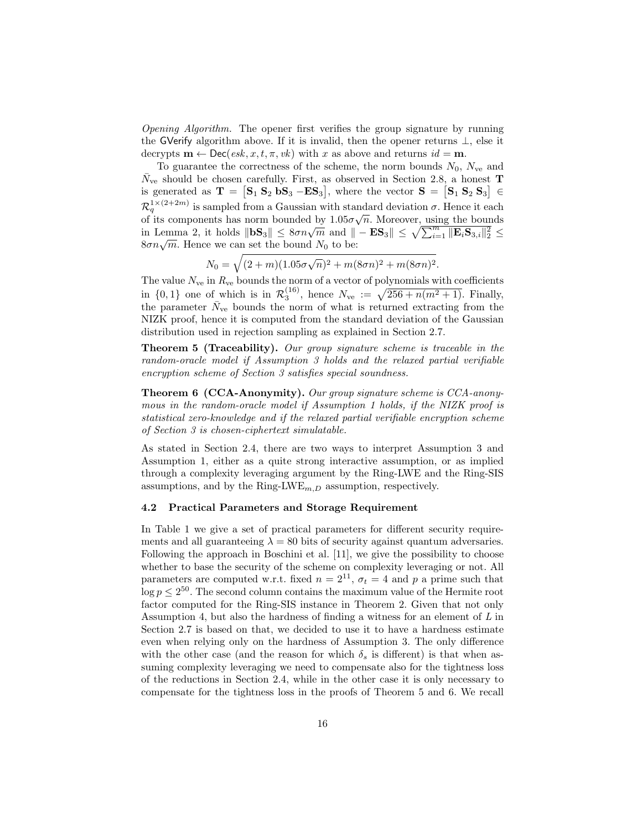Opening Algorithm. The opener first verifies the group signature by running the GVerify algorithm above. If it is invalid, then the opener returns  $\perp$ , else it decrypts  $\mathbf{m} \leftarrow \mathsf{Dec}(esk, x, t, \pi, vk)$  with x as above and returns  $id = \mathbf{m}$ .

To guarantee the correctness of the scheme, the norm bounds  $N_0$ ,  $N_{ve}$  and  $\bar{N}_{ve}$  should be chosen carefully. First, as observed in Section 2.8, a honest **T** is generated as  $\mathbf{T} = [\mathbf{S}_1 \ \mathbf{S}_2 \ \mathbf{bS}_3 - \mathbf{E} \mathbf{S}_3]$ , where the vector  $\mathbf{S} = [\mathbf{S}_1 \ \mathbf{S}_2 \ \mathbf{S}_3] \in$  $\mathcal{R}_q^{1\times (2+2m)}$  is sampled from a Gaussian with standard deviation  $\sigma$ . Hence it each of its components has norm bounded by  $1.05\sigma\sqrt{n}$ . Moreover, using the bounds in Lemma 2, it holds  $\|\mathbf{bS}_3\| \leq 8\sigma n\sqrt{m}$  and  $\| - \mathbf{ES}_3 \| \leq \sqrt{\sum_{i=1}^m \|\mathbf{E}_i \mathbf{S}_{3,i}\|_2^2} \leq$ m Lemma 2, it holds  $\|\mathbf{S}\sigma\| \leq \frac{\partial n}{\partial m}$  and  $\|\mathbf{S}\sigma\eta\sqrt{m}$ . Hence we can set the bound  $N_0$  to be:

$$
N_0 = \sqrt{(2+m)(1.05\sigma\sqrt{n})^2 + m(8\sigma n)^2 + m(8\sigma n)^2}.
$$

The value  $N_{\rm ve}$  in  $R_{\rm ve}$  bounds the norm of a vector of polynomials with coefficients in  $\{0,1\}$  one of which is in  $\mathcal{R}_3^{(16)}$ , hence  $N_{ve} := \sqrt{256 + n(m^2 + 1)}$ . Finally, the parameter  $\bar{N}_{ve}$  bounds the norm of what is returned extracting from the NIZK proof, hence it is computed from the standard deviation of the Gaussian distribution used in rejection sampling as explained in Section 2.7.

Theorem 5 (Traceability). Our group signature scheme is traceable in the random-oracle model if Assumption 3 holds and the relaxed partial verifiable encryption scheme of Section 3 satisfies special soundness.

Theorem 6 (CCA-Anonymity). Our group signature scheme is CCA-anonymous in the random-oracle model if Assumption 1 holds, if the NIZK proof is statistical zero-knowledge and if the relaxed partial verifiable encryption scheme of Section 3 is chosen-ciphertext simulatable.

As stated in Section 2.4, there are two ways to interpret Assumption 3 and Assumption 1, either as a quite strong interactive assumption, or as implied through a complexity leveraging argument by the Ring-LWE and the Ring-SIS assumptions, and by the Ring-LWE<sub>m, D</sub> assumption, respectively.

#### 4.2 Practical Parameters and Storage Requirement

In Table 1 we give a set of practical parameters for different security requirements and all guaranteeing  $\lambda = 80$  bits of security against quantum adversaries. Following the approach in Boschini et al. [11], we give the possibility to choose whether to base the security of the scheme on complexity leveraging or not. All parameters are computed w.r.t. fixed  $n = 2^{11}$ ,  $\sigma_t = 4$  and p a prime such that  $\log p \leq 2^{50}$ . The second column contains the maximum value of the Hermite root factor computed for the Ring-SIS instance in Theorem 2. Given that not only Assumption 4, but also the hardness of finding a witness for an element of L in Section 2.7 is based on that, we decided to use it to have a hardness estimate even when relying only on the hardness of Assumption 3. The only difference with the other case (and the reason for which  $\delta_s$  is different) is that when assuming complexity leveraging we need to compensate also for the tightness loss of the reductions in Section 2.4, while in the other case it is only necessary to compensate for the tightness loss in the proofs of Theorem 5 and 6. We recall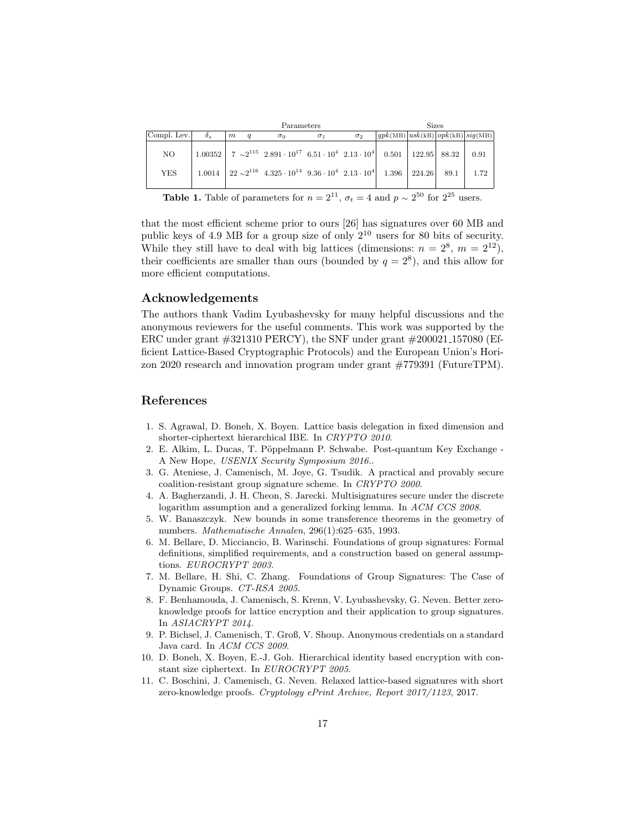|                  |          | Parameters |                |                                                                                                                                                                                                                                                   |            |            | <b>Sizes</b>                            |  |  |              |
|------------------|----------|------------|----------------|---------------------------------------------------------------------------------------------------------------------------------------------------------------------------------------------------------------------------------------------------|------------|------------|-----------------------------------------|--|--|--------------|
| Compl. Lev.      | $\delta$ | m          | $\overline{q}$ | $\sigma_0$                                                                                                                                                                                                                                        | $\sigma_1$ | $\sigma_2$ | $ qpk(MB) $ usk(kB) $ opk(kB) $ sig(MB) |  |  |              |
| NO<br><b>YES</b> |          |            |                | $1.00352$   $7 \sim 2^{115}$ $2.891 \cdot 10^{17}$ $6.51 \cdot 10^{4}$ $2.13 \cdot 10^{4}$ $0.501$   $122.95$   88.32  <br>$1.0014$   $22 \sim 2^{116}$ $4.325 \cdot 10^{14}$ $9.36 \cdot 10^{4}$ $2.13 \cdot 10^{4}$   $1.396$   $224.26$   89.1 |            |            |                                         |  |  | 0.91<br>1.72 |

**Table 1.** Table of parameters for  $n = 2^{11}$ ,  $\sigma_t = 4$  and  $p \sim 2^{50}$  for  $2^{25}$  users.

that the most efficient scheme prior to ours [26] has signatures over 60 MB and public keys of 4.9 MB for a group size of only  $2^{10}$  users for 80 bits of security. While they still have to deal with big lattices (dimensions:  $n = 2^8$ ,  $m = 2^{12}$ ), their coefficients are smaller than ours (bounded by  $q = 2^8$ ), and this allow for more efficient computations.

### Acknowledgements

The authors thank Vadim Lyubashevsky for many helpful discussions and the anonymous reviewers for the useful comments. This work was supported by the ERC under grant #321310 PERCY), the SNF under grant #200021 157080 (Efficient Lattice-Based Cryptographic Protocols) and the European Union's Horizon 2020 research and innovation program under grant #779391 (FutureTPM).

# References

- 1. S. Agrawal, D. Boneh, X. Boyen. Lattice basis delegation in fixed dimension and shorter-ciphertext hierarchical IBE. In CRYPTO 2010.
- 2. E. Alkim, L. Ducas, T. Pöppelmann P. Schwabe. Post-quantum Key Exchange -A New Hope, USENIX Security Symposium 2016..
- 3. G. Ateniese, J. Camenisch, M. Joye, G. Tsudik. A practical and provably secure coalition-resistant group signature scheme. In CRYPTO 2000.
- 4. A. Bagherzandi, J. H. Cheon, S. Jarecki. Multisignatures secure under the discrete logarithm assumption and a generalized forking lemma. In ACM CCS 2008.
- 5. W. Banaszczyk. New bounds in some transference theorems in the geometry of numbers. Mathematische Annalen, 296(1):625–635, 1993.
- 6. M. Bellare, D. Micciancio, B. Warinschi. Foundations of group signatures: Formal definitions, simplified requirements, and a construction based on general assumptions. EUROCRYPT 2003.
- 7. M. Bellare, H. Shi, C. Zhang. Foundations of Group Signatures: The Case of Dynamic Groups. CT-RSA 2005.
- 8. F. Benhamouda, J. Camenisch, S. Krenn, V. Lyubashevsky, G. Neven. Better zeroknowledge proofs for lattice encryption and their application to group signatures. In ASIACRYPT 2014.
- 9. P. Bichsel, J. Camenisch, T. Groß, V. Shoup. Anonymous credentials on a standard Java card. In ACM CCS 2009.
- 10. D. Boneh, X. Boyen, E.-J. Goh. Hierarchical identity based encryption with constant size ciphertext. In EUROCRYPT 2005.
- 11. C. Boschini, J. Camenisch, G. Neven. Relaxed lattice-based signatures with short zero-knowledge proofs. Cryptology ePrint Archive, Report 2017/1123, 2017.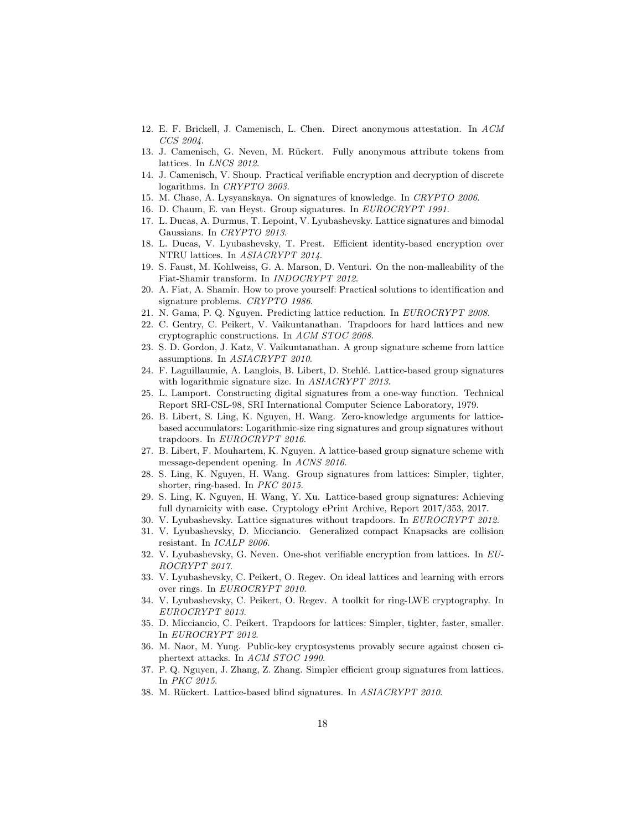- 12. E. F. Brickell, J. Camenisch, L. Chen. Direct anonymous attestation. In ACM CCS 2004.
- 13. J. Camenisch, G. Neven, M. R¨uckert. Fully anonymous attribute tokens from lattices. In *LNCS* 2012.
- 14. J. Camenisch, V. Shoup. Practical verifiable encryption and decryption of discrete logarithms. In CRYPTO 2003.
- 15. M. Chase, A. Lysyanskaya. On signatures of knowledge. In CRYPTO 2006.
- 16. D. Chaum, E. van Heyst. Group signatures. In EUROCRYPT 1991.
- 17. L. Ducas, A. Durmus, T. Lepoint, V. Lyubashevsky. Lattice signatures and bimodal Gaussians. In CRYPTO 2013.
- 18. L. Ducas, V. Lyubashevsky, T. Prest. Efficient identity-based encryption over NTRU lattices. In ASIACRYPT 2014.
- 19. S. Faust, M. Kohlweiss, G. A. Marson, D. Venturi. On the non-malleability of the Fiat-Shamir transform. In INDOCRYPT 2012.
- 20. A. Fiat, A. Shamir. How to prove yourself: Practical solutions to identification and signature problems. CRYPTO 1986.
- 21. N. Gama, P. Q. Nguyen. Predicting lattice reduction. In EUROCRYPT 2008.
- 22. C. Gentry, C. Peikert, V. Vaikuntanathan. Trapdoors for hard lattices and new cryptographic constructions. In ACM STOC 2008.
- 23. S. D. Gordon, J. Katz, V. Vaikuntanathan. A group signature scheme from lattice assumptions. In ASIACRYPT 2010.
- 24. F. Laguillaumie, A. Langlois, B. Libert, D. Stehl´e. Lattice-based group signatures with logarithmic signature size. In ASIACRYPT 2013.
- 25. L. Lamport. Constructing digital signatures from a one-way function. Technical Report SRI-CSL-98, SRI International Computer Science Laboratory, 1979.
- 26. B. Libert, S. Ling, K. Nguyen, H. Wang. Zero-knowledge arguments for latticebased accumulators: Logarithmic-size ring signatures and group signatures without trapdoors. In EUROCRYPT 2016.
- 27. B. Libert, F. Mouhartem, K. Nguyen. A lattice-based group signature scheme with message-dependent opening. In ACNS 2016.
- 28. S. Ling, K. Nguyen, H. Wang. Group signatures from lattices: Simpler, tighter, shorter, ring-based. In PKC 2015.
- 29. S. Ling, K. Nguyen, H. Wang, Y. Xu. Lattice-based group signatures: Achieving full dynamicity with ease. Cryptology ePrint Archive, Report 2017/353, 2017.
- 30. V. Lyubashevsky. Lattice signatures without trapdoors. In EUROCRYPT 2012.
- 31. V. Lyubashevsky, D. Micciancio. Generalized compact Knapsacks are collision resistant. In ICALP 2006.
- 32. V. Lyubashevsky, G. Neven. One-shot verifiable encryption from lattices. In EU-ROCRYPT 2017.
- 33. V. Lyubashevsky, C. Peikert, O. Regev. On ideal lattices and learning with errors over rings. In EUROCRYPT 2010.
- 34. V. Lyubashevsky, C. Peikert, O. Regev. A toolkit for ring-LWE cryptography. In EUROCRYPT 2013.
- 35. D. Micciancio, C. Peikert. Trapdoors for lattices: Simpler, tighter, faster, smaller. In EUROCRYPT 2012.
- 36. M. Naor, M. Yung. Public-key cryptosystems provably secure against chosen ciphertext attacks. In ACM STOC 1990.
- 37. P. Q. Nguyen, J. Zhang, Z. Zhang. Simpler efficient group signatures from lattices. In PKC 2015.
- 38. M. Rückert. Lattice-based blind signatures. In ASIACRYPT 2010.